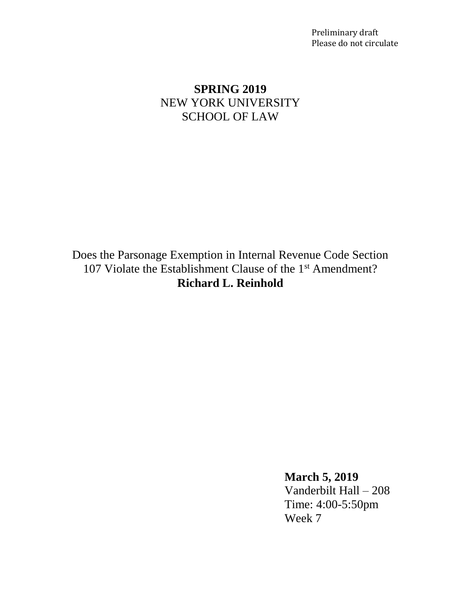Preliminary draft Please do not circulate

# **SPRING 2019** NEW YORK UNIVERSITY SCHOOL OF LAW

Does the Parsonage Exemption in Internal Revenue Code Section 107 Violate the Establishment Clause of the 1<sup>st</sup> Amendment? **Richard L. Reinhold**

> **March 5, 2019** Vanderbilt Hall – 208 Time: 4:00-5:50pm Week 7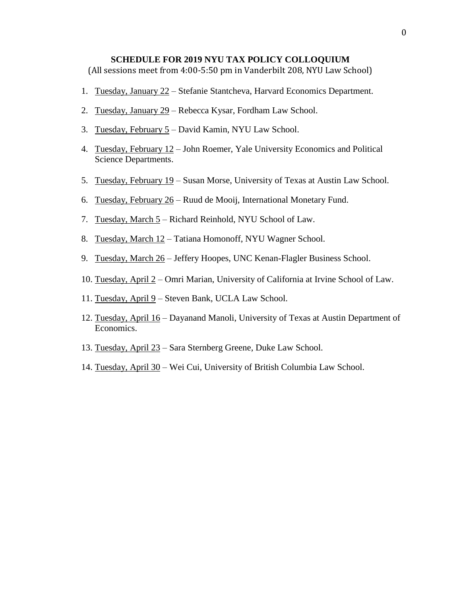#### **SCHEDULE FOR 2019 NYU TAX POLICY COLLOQUIUM**

(All sessions meet from 4:00-5:50 pm in Vanderbilt 208, NYU Law School)

- 1. Tuesday, January 22 Stefanie Stantcheva, Harvard Economics Department.
- 2. Tuesday, January 29 Rebecca Kysar, Fordham Law School.
- 3. Tuesday, February  $5 -$  David Kamin, NYU Law School.
- 4. Tuesday, February 12 John Roemer, Yale University Economics and Political Science Departments.
- 5. Tuesday, February 19 Susan Morse, University of Texas at Austin Law School.
- 6. Tuesday, February 26 Ruud de Mooij, International Monetary Fund.
- 7. Tuesday, March 5 Richard Reinhold, NYU School of Law.
- 8. Tuesday, March 12 Tatiana Homonoff, NYU Wagner School.
- 9. Tuesday, March 26 Jeffery Hoopes, UNC Kenan-Flagler Business School.
- 10. Tuesday, April 2 Omri Marian, University of California at Irvine School of Law.
- 11. Tuesday, April 9 Steven Bank, UCLA Law School.
- 12. Tuesday, April 16 Dayanand Manoli, University of Texas at Austin Department of Economics.
- 13. Tuesday, April 23 Sara Sternberg Greene, Duke Law School.
- 14. Tuesday, April 30 Wei Cui, University of British Columbia Law School.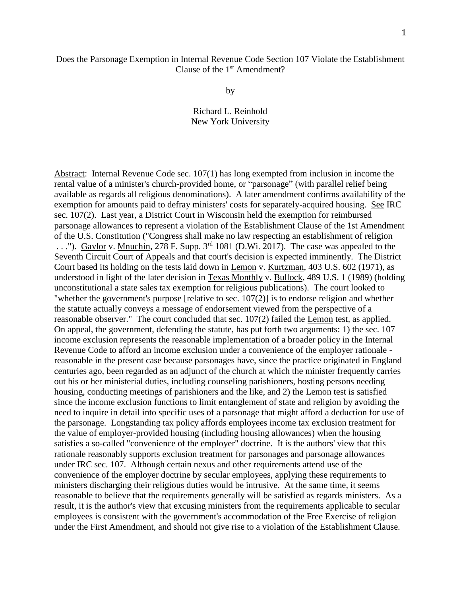# Does the Parsonage Exemption in Internal Revenue Code Section 107 Violate the Establishment Clause of the 1<sup>st</sup> Amendment?

by

Richard L. Reinhold New York University

Abstract: Internal Revenue Code sec. 107(1) has long exempted from inclusion in income the rental value of a minister's church-provided home, or "parsonage" (with parallel relief being available as regards all religious denominations). A later amendment confirms availability of the exemption for amounts paid to defray ministers' costs for separately-acquired housing. See IRC sec. 107(2). Last year, a District Court in Wisconsin held the exemption for reimbursed parsonage allowances to represent a violation of the Establishment Clause of the 1st Amendment of the U.S. Constitution ("Congress shall make no law respecting an establishment of religion ..."). Gaylor v. Mnuchin, 278 F. Supp.  $3^{rd}$  1081 (D.Wi. 2017). The case was appealed to the Seventh Circuit Court of Appeals and that court's decision is expected imminently. The District Court based its holding on the tests laid down in Lemon v. Kurtzman, 403 U.S. 602 (1971), as understood in light of the later decision in Texas Monthly v. Bullock, 489 U.S. 1 (1989) (holding unconstitutional a state sales tax exemption for religious publications). The court looked to "whether the government's purpose [relative to sec. 107(2)] is to endorse religion and whether the statute actually conveys a message of endorsement viewed from the perspective of a reasonable observer." The court concluded that sec. 107(2) failed the Lemon test, as applied. On appeal, the government, defending the statute, has put forth two arguments: 1) the sec. 107 income exclusion represents the reasonable implementation of a broader policy in the Internal Revenue Code to afford an income exclusion under a convenience of the employer rationale reasonable in the present case because parsonages have, since the practice originated in England centuries ago, been regarded as an adjunct of the church at which the minister frequently carries out his or her ministerial duties, including counseling parishioners, hosting persons needing housing, conducting meetings of parishioners and the like, and 2) the Lemon test is satisfied since the income exclusion functions to limit entanglement of state and religion by avoiding the need to inquire in detail into specific uses of a parsonage that might afford a deduction for use of the parsonage. Longstanding tax policy affords employees income tax exclusion treatment for the value of employer-provided housing (including housing allowances) when the housing satisfies a so-called "convenience of the employer" doctrine. It is the authors' view that this rationale reasonably supports exclusion treatment for parsonages and parsonage allowances under IRC sec. 107. Although certain nexus and other requirements attend use of the convenience of the employer doctrine by secular employees, applying these requirements to ministers discharging their religious duties would be intrusive. At the same time, it seems reasonable to believe that the requirements generally will be satisfied as regards ministers. As a result, it is the author's view that excusing ministers from the requirements applicable to secular employees is consistent with the government's accommodation of the Free Exercise of religion under the First Amendment, and should not give rise to a violation of the Establishment Clause.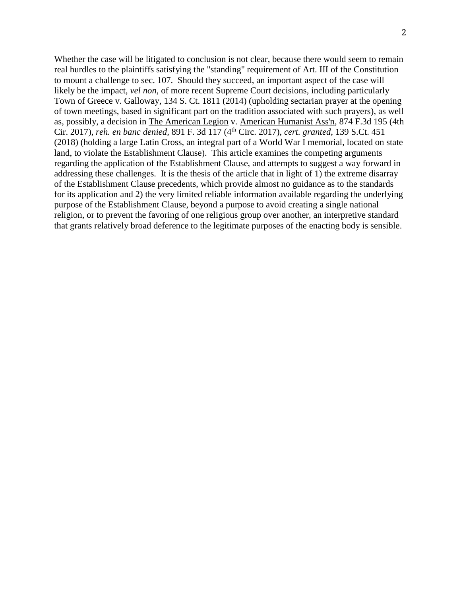Whether the case will be litigated to conclusion is not clear, because there would seem to remain real hurdles to the plaintiffs satisfying the "standing" requirement of Art. III of the Constitution to mount a challenge to sec. 107. Should they succeed, an important aspect of the case will likely be the impact, *vel non*, of more recent Supreme Court decisions, including particularly Town of Greece v. Galloway, 134 S. Ct. 1811 (2014) (upholding sectarian prayer at the opening of town meetings, based in significant part on the tradition associated with such prayers), as well as, possibly, a decision in The American Legion v. American Humanist Ass'n, 874 F.3d 195 (4th Cir. 2017), *reh. en banc denied,* 891 F. 3d 117 (4th Circ. 2017), *cert. granted*, 139 S.Ct. 451 (2018) (holding a large Latin Cross, an integral part of a World War I memorial, located on state land, to violate the Establishment Clause). This article examines the competing arguments regarding the application of the Establishment Clause, and attempts to suggest a way forward in addressing these challenges. It is the thesis of the article that in light of 1) the extreme disarray of the Establishment Clause precedents, which provide almost no guidance as to the standards for its application and 2) the very limited reliable information available regarding the underlying purpose of the Establishment Clause, beyond a purpose to avoid creating a single national religion, or to prevent the favoring of one religious group over another, an interpretive standard that grants relatively broad deference to the legitimate purposes of the enacting body is sensible.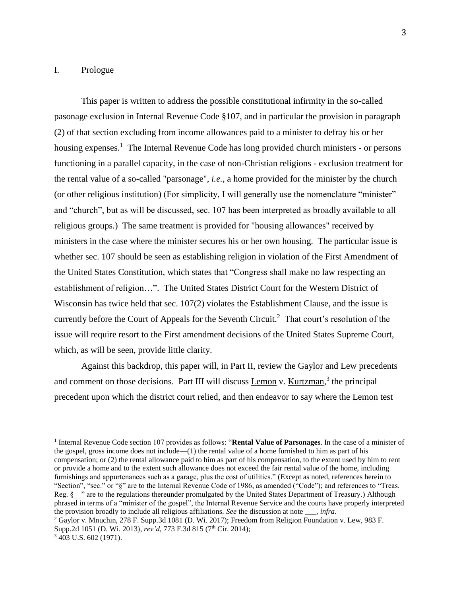#### I. Prologue

This paper is written to address the possible constitutional infirmity in the so-called pasonage exclusion in Internal Revenue Code §107, and in particular the provision in paragraph (2) of that section excluding from income allowances paid to a minister to defray his or her housing expenses.<sup>1</sup> The Internal Revenue Code has long provided church ministers - or persons functioning in a parallel capacity, in the case of non-Christian religions - exclusion treatment for the rental value of a so-called "parsonage", *i.e.*, a home provided for the minister by the church (or other religious institution) (For simplicity, I will generally use the nomenclature "minister" and "church", but as will be discussed, sec. 107 has been interpreted as broadly available to all religious groups.) The same treatment is provided for "housing allowances" received by ministers in the case where the minister secures his or her own housing. The particular issue is whether sec. 107 should be seen as establishing religion in violation of the First Amendment of the United States Constitution, which states that "Congress shall make no law respecting an establishment of religion…". The United States District Court for the Western District of Wisconsin has twice held that sec. 107(2) violates the Establishment Clause, and the issue is currently before the Court of Appeals for the Seventh Circuit. <sup>2</sup> That court's resolution of the issue will require resort to the First amendment decisions of the United States Supreme Court, which, as will be seen, provide little clarity.

Against this backdrop, this paper will, in Part II, review the Gaylor and Lew precedents and comment on those decisions. Part III will discuss Lemon v. Kurtzman,<sup>3</sup> the principal precedent upon which the district court relied, and then endeavor to say where the Lemon test

<sup>&</sup>lt;sup>1</sup> Internal Revenue Code section 107 provides as follows: "Rental Value of Parsonages. In the case of a minister of the gospel, gross income does not include—(1) the rental value of a home furnished to him as part of his compensation; or (2) the rental allowance paid to him as part of his compensation, to the extent used by him to rent or provide a home and to the extent such allowance does not exceed the fair rental value of the home, including furnishings and appurtenances such as a garage, plus the cost of utilities." (Except as noted, references herein to "Section", "sec." or "§" are to the Internal Revenue Code of 1986, as amended ("Code"); and references to "Treas. Reg. § " are to the regulations thereunder promulgated by the United States Department of Treasury.) Although phrased in terms of a "minister of the gospel", the Internal Revenue Service and the courts have properly interpreted the provision broadly to include all religious affiliations. *See* the discussion at note \_\_\_, *infra*.

<sup>2</sup> Gaylor v. Mnuchin, 278 F. Supp.3d 1081 (D. Wi. 2017); Freedom from Religion Foundation v. Lew, 983 F. Supp.2d 1051 (D. Wi. 2013), *rev'd*, 773 F.3d 815 (7<sup>th</sup> Cir. 2014);

 $3\,403$  U.S. 602 (1971).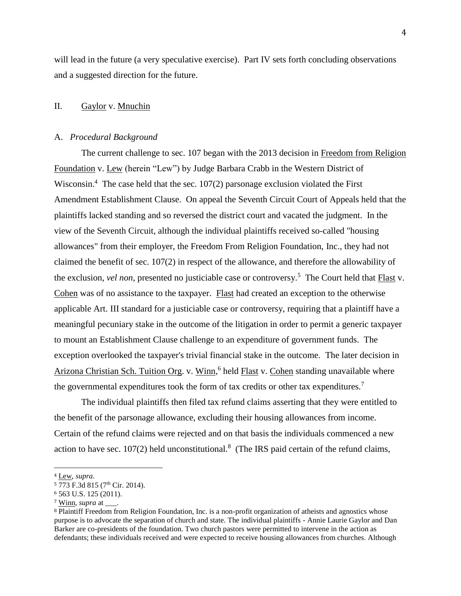will lead in the future (a very speculative exercise). Part IV sets forth concluding observations and a suggested direction for the future.

#### II. Gaylor v. Mnuchin

#### A. *Procedural Background*

The current challenge to sec. 107 began with the 2013 decision in Freedom from Religion Foundation v. Lew (herein "Lew") by Judge Barbara Crabb in the Western District of Wisconsin.<sup>4</sup> The case held that the sec.  $107(2)$  parsonage exclusion violated the First Amendment Establishment Clause. On appeal the Seventh Circuit Court of Appeals held that the plaintiffs lacked standing and so reversed the district court and vacated the judgment. In the view of the Seventh Circuit, although the individual plaintiffs received so-called "housing allowances" from their employer, the Freedom From Religion Foundation, Inc., they had not claimed the benefit of sec. 107(2) in respect of the allowance, and therefore the allowability of the exclusion, *vel non*, presented no justiciable case or controversy.<sup>5</sup> The Court held that **Flast** v. Cohen was of no assistance to the taxpayer. Flast had created an exception to the otherwise applicable Art. III standard for a justiciable case or controversy, requiring that a plaintiff have a meaningful pecuniary stake in the outcome of the litigation in order to permit a generic taxpayer to mount an Establishment Clause challenge to an expenditure of government funds. The exception overlooked the taxpayer's trivial financial stake in the outcome. The later decision in Arizona Christian Sch. Tuition Org. v. Winn,<sup>6</sup> held Flast v. Cohen standing unavailable where the governmental expenditures took the form of tax credits or other tax expenditures.<sup>7</sup>

The individual plaintiffs then filed tax refund claims asserting that they were entitled to the benefit of the parsonage allowance, excluding their housing allowances from income. Certain of the refund claims were rejected and on that basis the individuals commenced a new action to have sec.  $107(2)$  held unconstitutional.<sup>8</sup> (The IRS paid certain of the refund claims,

<sup>4</sup> Lew, *supra*.

<sup>&</sup>lt;sup>5</sup> 773 F.3d 815 (7<sup>th</sup> Cir. 2014).

<sup>6</sup> 563 U.S. 125 (2011).

<sup>7</sup> Winn, *supra* at \_\_\_.

<sup>8</sup> Plaintiff Freedom from Religion Foundation, Inc. is a non-profit organization of atheists and agnostics whose purpose is to advocate the separation of church and state. The individual plaintiffs - Annie Laurie Gaylor and Dan Barker are co-presidents of the foundation. Two church pastors were permitted to intervene in the action as defendants; these individuals received and were expected to receive housing allowances from churches. Although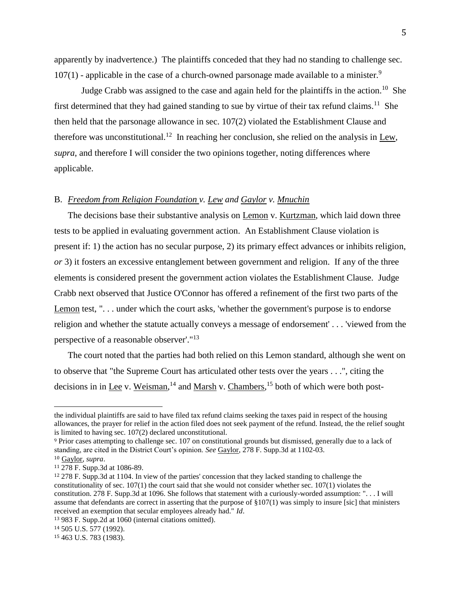apparently by inadvertence.) The plaintiffs conceded that they had no standing to challenge sec.  $107(1)$  - applicable in the case of a church-owned parsonage made available to a minister.<sup>9</sup>

Judge Crabb was assigned to the case and again held for the plaintiffs in the action.<sup>10</sup> She first determined that they had gained standing to sue by virtue of their tax refund claims.<sup>11</sup> She then held that the parsonage allowance in sec. 107(2) violated the Establishment Clause and therefore was unconstitutional.<sup>12</sup> In reaching her conclusion, she relied on the analysis in Lew, *supra*, and therefore I will consider the two opinions together, noting differences where applicable.

# B. *Freedom from Religion Foundation v. Lew and Gaylor v. Mnuchin*

The decisions base their substantive analysis on Lemon v. Kurtzman, which laid down three tests to be applied in evaluating government action. An Establishment Clause violation is present if: 1) the action has no secular purpose, 2) its primary effect advances or inhibits religion, *or* 3) it fosters an excessive entanglement between government and religion. If any of the three elements is considered present the government action violates the Establishment Clause. Judge Crabb next observed that Justice O'Connor has offered a refinement of the first two parts of the Lemon test, "... under which the court asks, 'whether the government's purpose is to endorse religion and whether the statute actually conveys a message of endorsement' . . . 'viewed from the perspective of a reasonable observer'."<sup>13</sup>

The court noted that the parties had both relied on this Lemon standard, although she went on to observe that "the Supreme Court has articulated other tests over the years . . .", citing the decisions in in <u>Lee</u> v. Weisman,<sup>14</sup> and Marsh v. Chambers,<sup>15</sup> both of which were both post-

the individual plaintiffs are said to have filed tax refund claims seeking the taxes paid in respect of the housing allowances, the prayer for relief in the action filed does not seek payment of the refund. Instead, the the relief sought is limited to having sec. 107(2) declared unconstitutional.

<sup>9</sup> Prior cases attempting to challenge sec. 107 on constitutional grounds but dismissed, generally due to a lack of standing, are cited in the District Court's opinion. *See* Gaylor, 278 F. Supp.3d at 1102-03. <sup>10</sup> Gaylor, *supra*.

<sup>11</sup> 278 F. Supp.3d at 1086-89.

<sup>12</sup> 278 F. Supp.3d at 1104. In view of the parties' concession that they lacked standing to challenge the constitutionality of sec.  $107(1)$  the court said that she would not consider whether sec.  $107(1)$  violates the constitution. 278 F. Supp.3d at 1096. She follows that statement with a curiously-worded assumption: ". . . I will assume that defendants are correct in asserting that the purpose of  $\S107(1)$  was simply to insure [sic] that ministers received an exemption that secular employees already had." *Id*.

<sup>13</sup> 983 F. Supp.2d at 1060 (internal citations omitted).

<sup>14</sup> 505 U.S. 577 (1992).

<sup>15</sup> 463 U.S. 783 (1983).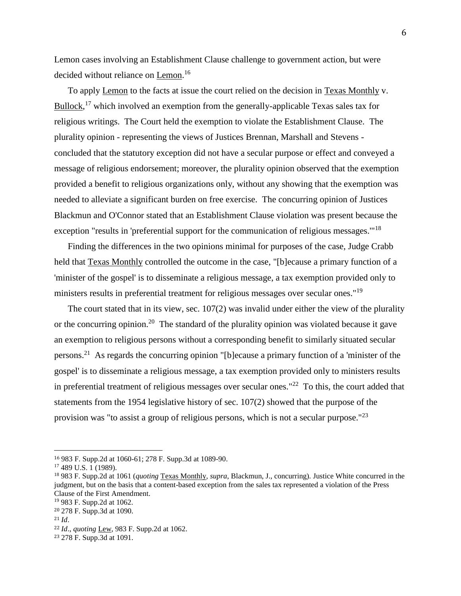Lemon cases involving an Establishment Clause challenge to government action, but were decided without reliance on Lemon.<sup>16</sup>

To apply Lemon to the facts at issue the court relied on the decision in Texas Monthly v. Bullock,<sup>17</sup> which involved an exemption from the generally-applicable Texas sales tax for religious writings. The Court held the exemption to violate the Establishment Clause. The plurality opinion - representing the views of Justices Brennan, Marshall and Stevens concluded that the statutory exception did not have a secular purpose or effect and conveyed a message of religious endorsement; moreover, the plurality opinion observed that the exemption provided a benefit to religious organizations only, without any showing that the exemption was needed to alleviate a significant burden on free exercise. The concurring opinion of Justices Blackmun and O'Connor stated that an Establishment Clause violation was present because the exception "results in 'preferential support for the communication of religious messages."<sup>18</sup>

Finding the differences in the two opinions minimal for purposes of the case, Judge Crabb held that Texas Monthly controlled the outcome in the case, "[b]ecause a primary function of a 'minister of the gospel' is to disseminate a religious message, a tax exemption provided only to ministers results in preferential treatment for religious messages over secular ones."<sup>19</sup>

The court stated that in its view, sec. 107(2) was invalid under either the view of the plurality or the concurring opinion.<sup>20</sup> The standard of the plurality opinion was violated because it gave an exemption to religious persons without a corresponding benefit to similarly situated secular persons.<sup>21</sup> As regards the concurring opinion "[b]ecause a primary function of a 'minister of the gospel' is to disseminate a religious message, a tax exemption provided only to ministers results in preferential treatment of religious messages over secular ones." $^{22}$  To this, the court added that statements from the 1954 legislative history of sec. 107(2) showed that the purpose of the provision was "to assist a group of religious persons, which is not a secular purpose."<sup>23</sup>

<sup>16</sup> 983 F. Supp.2d at 1060-61; 278 F. Supp.3d at 1089-90.

<sup>17</sup> 489 U.S. 1 (1989).

<sup>18</sup> 983 F. Supp.2d at 1061 (*quoting* Texas Monthly, *supra*, Blackmun, J., concurring). Justice White concurred in the judgment, but on the basis that a content-based exception from the sales tax represented a violation of the Press Clause of the First Amendment.

<sup>19</sup> 983 F. Supp.2d at 1062.

<sup>20</sup> 278 F. Supp.3d at 1090.

<sup>21</sup> *Id*.

<sup>22</sup> *Id*., *quoting* Lew, 983 F. Supp.2d at 1062.

<sup>23</sup> 278 F. Supp.3d at 1091.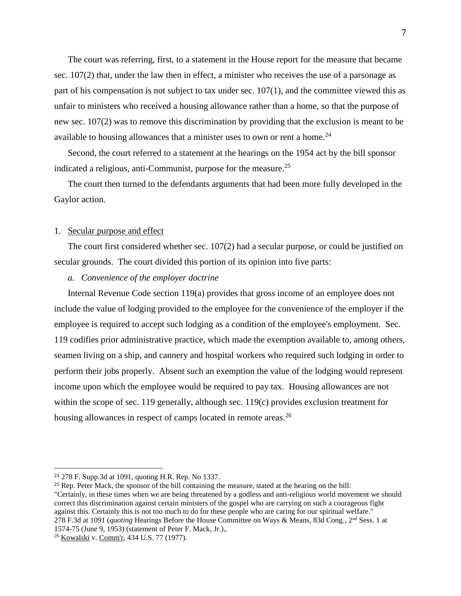The court was referring, first, to a statement in the House report for the measure that became sec. 107(2) that, under the law then in effect, a minister who receives the use of a parsonage as part of his compensation is not subject to tax under sec. 107(1), and the committee viewed this as unfair to ministers who received a housing allowance rather than a home, so that the purpose of new sec. 107(2) was to remove this discrimination by providing that the exclusion is meant to be available to housing allowances that a minister uses to own or rent a home.<sup>24</sup>

Second, the court referred to a statement at the hearings on the 1954 act by the bill sponsor indicated a religious, anti-Communist, purpose for the measure. 25

The court then turned to the defendants arguments that had been more fully developed in the Gaylor action.

#### 1. Secular purpose and effect

The court first considered whether sec. 107(2) had a secular purpose, or could be justified on secular grounds. The court divided this portion of its opinion into five parts:

## *a. Convenience of the employer doctrine*

Internal Revenue Code section 119(a) provides that gross income of an employee does not include the value of lodging provided to the employee for the convenience of the employer if the employee is required to accept such lodging as a condition of the employee's employment. Sec. 119 codifies prior administrative practice, which made the exemption available to, among others, seamen living on a ship, and cannery and hospital workers who required such lodging in order to perform their jobs properly. Absent such an exemption the value of the lodging would represent income upon which the employee would be required to pay tax. Housing allowances are not within the scope of sec. 119 generally, although sec. 119(c) provides exclusion treatment for housing allowances in respect of camps located in remote areas.<sup>26</sup>

<sup>24</sup> 278 F. Supp.3d at 1091, quoting H.R. Rep. No 1337.

<sup>25</sup> Rep. Peter Mack, the sponsor of the bill containing the measure, stated at the hearing on the bill: "Certainly, in these times when we are being threatened by a godless and anti-religious world movement we should correct this discrimination against certain ministers of the gospel who are carrying on such a courageous fight against this. Certainly this is not too much to do for these people who are caring for our spiritual welfare." 278 F.3d at 1091 (*quoting* Hearings Before the House Committee on Ways & Means, 83d Cong., 2nd Sess. 1 at 1574-75 (June 9, 1953) (statement of Peter F. Mack, Jr.),.

<sup>26</sup> Kowalski v. Comm'r, 434 U.S. 77 (1977).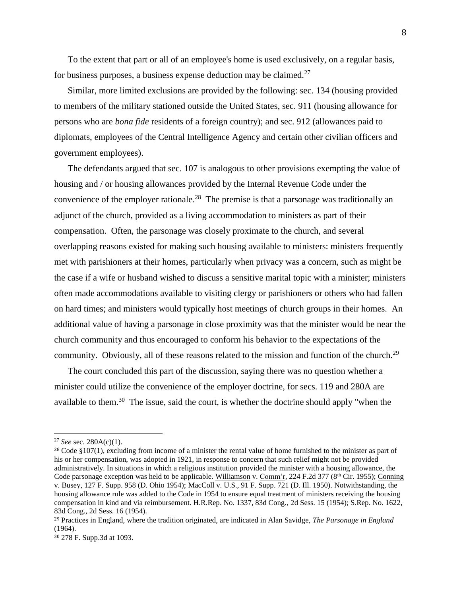To the extent that part or all of an employee's home is used exclusively, on a regular basis, for business purposes, a business expense deduction may be claimed.<sup>27</sup>

Similar, more limited exclusions are provided by the following: sec. 134 (housing provided to members of the military stationed outside the United States, sec. 911 (housing allowance for persons who are *bona fide* residents of a foreign country); and sec. 912 (allowances paid to diplomats, employees of the Central Intelligence Agency and certain other civilian officers and government employees).

The defendants argued that sec. 107 is analogous to other provisions exempting the value of housing and / or housing allowances provided by the Internal Revenue Code under the convenience of the employer rationale.<sup>28</sup> The premise is that a parsonage was traditionally an adjunct of the church, provided as a living accommodation to ministers as part of their compensation. Often, the parsonage was closely proximate to the church, and several overlapping reasons existed for making such housing available to ministers: ministers frequently met with parishioners at their homes, particularly when privacy was a concern, such as might be the case if a wife or husband wished to discuss a sensitive marital topic with a minister; ministers often made accommodations available to visiting clergy or parishioners or others who had fallen on hard times; and ministers would typically host meetings of church groups in their homes. An additional value of having a parsonage in close proximity was that the minister would be near the church community and thus encouraged to conform his behavior to the expectations of the community. Obviously, all of these reasons related to the mission and function of the church.<sup>29</sup>

The court concluded this part of the discussion, saying there was no question whether a minister could utilize the convenience of the employer doctrine, for secs. 119 and 280A are available to them.<sup>30</sup> The issue, said the court, is whether the doctrine should apply "when the

<sup>27</sup> *See* sec. 280A(c)(1).

<sup>&</sup>lt;sup>28</sup> Code §107(1), excluding from income of a minister the rental value of home furnished to the minister as part of his or her compensation, was adopted in 1921, in response to concern that such relief might not be provided administratively. In situations in which a religious institution provided the minister with a housing allowance, the Code parsonage exception was held to be applicable. Williamson v. Comm'r, 224 F.2d 377 (8<sup>th</sup> Cir. 1955); Conning v. Busey, 127 F. Supp. 958 (D. Ohio 1954); MacColl v. U.S., 91 F. Supp. 721 (D. Ill. 1950). Notwithstanding, the housing allowance rule was added to the Code in 1954 to ensure equal treatment of ministers receiving the housing compensation in kind and via reimbursement. H.R.Rep. No. 1337, 83d Cong., 2d Sess. 15 (1954); S.Rep. No. 1622, 83d Cong., 2d Sess. 16 (1954).

<sup>29</sup> Practices in England, where the tradition originated, are indicated in Alan Savidge, *The Parsonage in England*  (1964).

<sup>30</sup> 278 F. Supp.3d at 1093.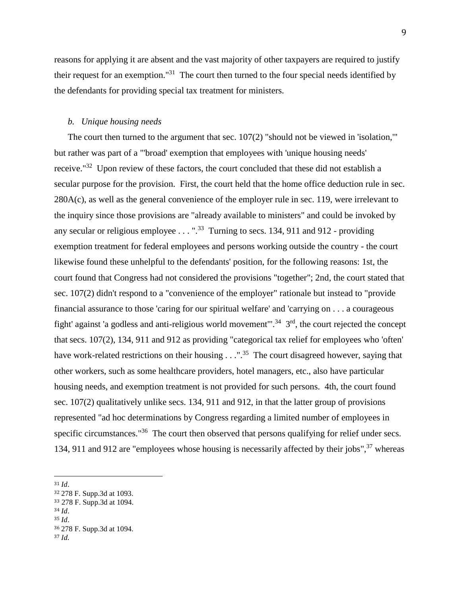reasons for applying it are absent and the vast majority of other taxpayers are required to justify their request for an exemption."<sup>31</sup> The court then turned to the four special needs identified by the defendants for providing special tax treatment for ministers.

#### *b. Unique housing needs*

The court then turned to the argument that sec. 107(2) "should not be viewed in 'isolation," but rather was part of a "'broad' exemption that employees with 'unique housing needs' receive."<sup>32</sup> Upon review of these factors, the court concluded that these did not establish a secular purpose for the provision. First, the court held that the home office deduction rule in sec. 280A(c), as well as the general convenience of the employer rule in sec. 119, were irrelevant to the inquiry since those provisions are "already available to ministers" and could be invoked by any secular or religious employee  $\ldots$  ".<sup>33</sup> Turning to secs. 134, 911 and 912 - providing exemption treatment for federal employees and persons working outside the country - the court likewise found these unhelpful to the defendants' position, for the following reasons: 1st, the court found that Congress had not considered the provisions "together"; 2nd, the court stated that sec. 107(2) didn't respond to a "convenience of the employer" rationale but instead to "provide financial assurance to those 'caring for our spiritual welfare' and 'carrying on . . . a courageous fight' against 'a godless and anti-religious world movement".<sup>34</sup>  $3<sup>rd</sup>$ , the court rejected the concept that secs. 107(2), 134, 911 and 912 as providing "categorical tax relief for employees who 'often' have work-related restrictions on their housing . . .".<sup>35</sup> The court disagreed however, saying that other workers, such as some healthcare providers, hotel managers, etc., also have particular housing needs, and exemption treatment is not provided for such persons. 4th, the court found sec. 107(2) qualitatively unlike secs. 134, 911 and 912, in that the latter group of provisions represented "ad hoc determinations by Congress regarding a limited number of employees in specific circumstances."<sup>36</sup> The court then observed that persons qualifying for relief under secs. 134, 911 and 912 are "employees whose housing is necessarily affected by their jobs",<sup>37</sup> whereas

 $\overline{a}$ 

<sup>35</sup> *Id*.

<sup>31</sup> *Id*.

<sup>32</sup> 278 F. Supp.3d at 1093.

<sup>33</sup> 278 F. Supp.3d at 1094.

<sup>34</sup> *Id*.

<sup>36</sup> 278 F. Supp.3d at 1094.

<sup>37</sup> *Id*.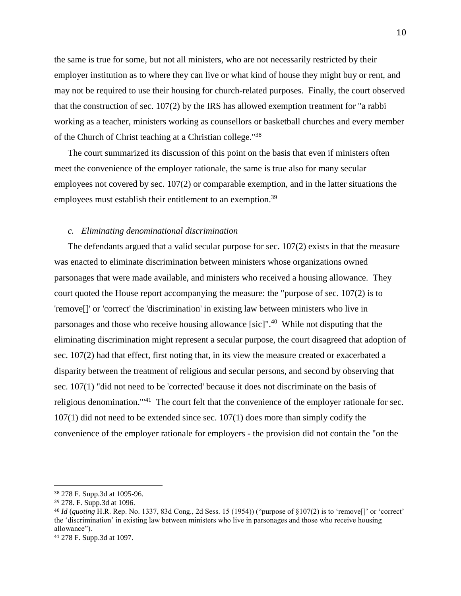the same is true for some, but not all ministers, who are not necessarily restricted by their employer institution as to where they can live or what kind of house they might buy or rent, and may not be required to use their housing for church-related purposes. Finally, the court observed that the construction of sec. 107(2) by the IRS has allowed exemption treatment for "a rabbi working as a teacher, ministers working as counsellors or basketball churches and every member of the Church of Christ teaching at a Christian college."<sup>38</sup>

The court summarized its discussion of this point on the basis that even if ministers often meet the convenience of the employer rationale, the same is true also for many secular employees not covered by sec. 107(2) or comparable exemption, and in the latter situations the employees must establish their entitlement to an exemption.<sup>39</sup>

#### *c. Eliminating denominational discrimination*

The defendants argued that a valid secular purpose for sec. 107(2) exists in that the measure was enacted to eliminate discrimination between ministers whose organizations owned parsonages that were made available, and ministers who received a housing allowance. They court quoted the House report accompanying the measure: the "purpose of sec. 107(2) is to 'remove[]' or 'correct' the 'discrimination' in existing law between ministers who live in parsonages and those who receive housing allowance [sic]".<sup>40</sup> While not disputing that the eliminating discrimination might represent a secular purpose, the court disagreed that adoption of sec. 107(2) had that effect, first noting that, in its view the measure created or exacerbated a disparity between the treatment of religious and secular persons, and second by observing that sec. 107(1) "did not need to be 'corrected' because it does not discriminate on the basis of religious denomination.'"<sup>41</sup> The court felt that the convenience of the employer rationale for sec. 107(1) did not need to be extended since sec. 107(1) does more than simply codify the convenience of the employer rationale for employers - the provision did not contain the "on the

<sup>38</sup> 278 F. Supp.3d at 1095-96.

<sup>39</sup> 278. F. Supp.3d at 1096.

<sup>40</sup> *Id* (*quoting* H.R. Rep. No. 1337, 83d Cong., 2d Sess. 15 (1954)) ("purpose of §107(2) is to 'remove[]' or 'correct' the 'discrimination' in existing law between ministers who live in parsonages and those who receive housing allowance").

<sup>41</sup> 278 F. Supp.3d at 1097.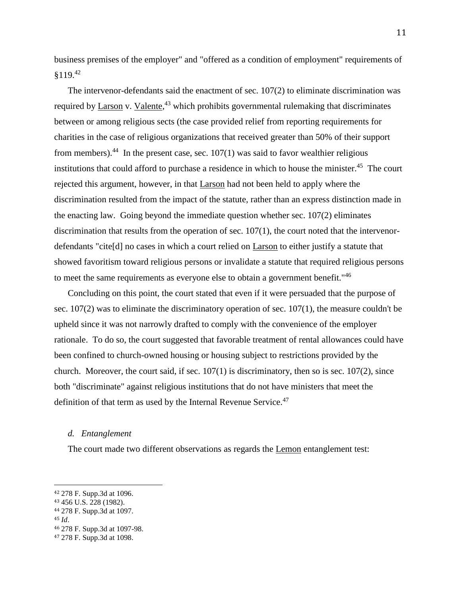business premises of the employer" and "offered as a condition of employment" requirements of §119.<sup>42</sup>

The intervenor-defendants said the enactment of sec. 107(2) to eliminate discrimination was required by  $\underline{Larson}$  v.  $Valente,$ <sup>43</sup> which prohibits governmental rulemaking that discriminates between or among religious sects (the case provided relief from reporting requirements for charities in the case of religious organizations that received greater than 50% of their support from members).<sup>44</sup> In the present case, sec.  $107(1)$  was said to favor wealthier religious institutions that could afford to purchase a residence in which to house the minister.<sup>45</sup> The court rejected this argument, however, in that Larson had not been held to apply where the discrimination resulted from the impact of the statute, rather than an express distinction made in the enacting law. Going beyond the immediate question whether sec. 107(2) eliminates discrimination that results from the operation of sec. 107(1), the court noted that the intervenordefendants "cite[d] no cases in which a court relied on Larson to either justify a statute that showed favoritism toward religious persons or invalidate a statute that required religious persons to meet the same requirements as everyone else to obtain a government benefit."<sup>46</sup>

Concluding on this point, the court stated that even if it were persuaded that the purpose of sec. 107(2) was to eliminate the discriminatory operation of sec. 107(1), the measure couldn't be upheld since it was not narrowly drafted to comply with the convenience of the employer rationale. To do so, the court suggested that favorable treatment of rental allowances could have been confined to church-owned housing or housing subject to restrictions provided by the church. Moreover, the court said, if sec.  $107(1)$  is discriminatory, then so is sec.  $107(2)$ , since both "discriminate" against religious institutions that do not have ministers that meet the definition of that term as used by the Internal Revenue Service.<sup>47</sup>

#### *d. Entanglement*

The court made two different observations as regards the Lemon entanglement test:

<sup>42</sup> 278 F. Supp.3d at 1096.

<sup>43</sup> 456 U.S. 228 (1982).

<sup>44</sup> 278 F. Supp.3d at 1097.

<sup>45</sup> *Id*.

<sup>46</sup> 278 F. Supp.3d at 1097-98.

<sup>47</sup> 278 F. Supp.3d at 1098.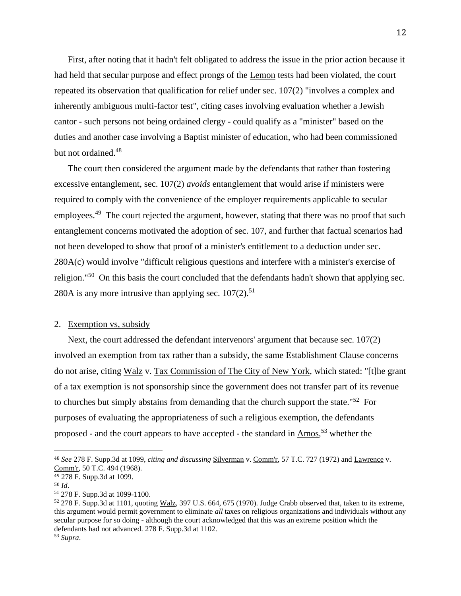First, after noting that it hadn't felt obligated to address the issue in the prior action because it had held that secular purpose and effect prongs of the Lemon tests had been violated, the court repeated its observation that qualification for relief under sec. 107(2) "involves a complex and inherently ambiguous multi-factor test", citing cases involving evaluation whether a Jewish cantor - such persons not being ordained clergy - could qualify as a "minister" based on the duties and another case involving a Baptist minister of education, who had been commissioned but not ordained.<sup>48</sup>

The court then considered the argument made by the defendants that rather than fostering excessive entanglement, sec. 107(2) *avoids* entanglement that would arise if ministers were required to comply with the convenience of the employer requirements applicable to secular employees.<sup>49</sup> The court rejected the argument, however, stating that there was no proof that such entanglement concerns motivated the adoption of sec. 107, and further that factual scenarios had not been developed to show that proof of a minister's entitlement to a deduction under sec. 280A(c) would involve "difficult religious questions and interfere with a minister's exercise of religion."<sup>50</sup> On this basis the court concluded that the defendants hadn't shown that applying sec. 280A is any more intrusive than applying sec.  $107(2)$ .<sup>51</sup>

## 2. Exemption vs, subsidy

Next, the court addressed the defendant intervenors' argument that because sec. 107(2) involved an exemption from tax rather than a subsidy, the same Establishment Clause concerns do not arise, citing Walz v. Tax Commission of The City of New York, which stated: "[t]he grant of a tax exemption is not sponsorship since the government does not transfer part of its revenue to churches but simply abstains from demanding that the church support the state."<sup>52</sup> For purposes of evaluating the appropriateness of such a religious exemption, the defendants proposed - and the court appears to have accepted - the standard in  $\Delta$ mos,<sup>53</sup> whether the

<sup>48</sup> *See* 278 F. Supp.3d at 1099, *citing and discussing* Silverman v. Comm'r, 57 T.C. 727 (1972) and Lawrence v. Comm'r, 50 T.C. 494 (1968).

<sup>49</sup> 278 F. Supp.3d at 1099.

<sup>50</sup> *Id*.

<sup>51</sup> 278 F. Supp.3d at 1099-1100.

<sup>52</sup> 278 F. Supp.3d at 1101, quoting Walz, 397 U.S. 664, 675 (1970). Judge Crabb observed that, taken to its extreme, this argument would permit government to eliminate *all* taxes on religious organizations and individuals without any secular purpose for so doing - although the court acknowledged that this was an extreme position which the defendants had not advanced. 278 F. Supp.3d at 1102.

<sup>53</sup> *Supra*.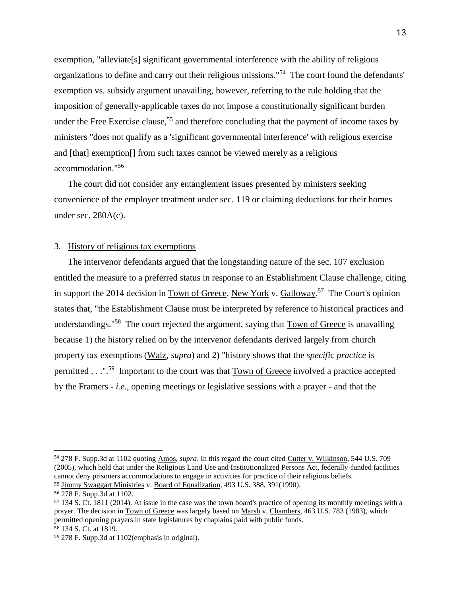exemption, "alleviate[s] significant governmental interference with the ability of religious organizations to define and carry out their religious missions."<sup>54</sup> The court found the defendants' exemption vs. subsidy argument unavailing, however, referring to the rule holding that the imposition of generally-applicable taxes do not impose a constitutionally significant burden under the Free Exercise clause,<sup>55</sup> and therefore concluding that the payment of income taxes by ministers "does not qualify as a 'significant governmental interference' with religious exercise and [that] exemption[] from such taxes cannot be viewed merely as a religious accommodation."<sup>56</sup>

The court did not consider any entanglement issues presented by ministers seeking convenience of the employer treatment under sec. 119 or claiming deductions for their homes under sec.  $280A(c)$ .

#### 3. History of religious tax exemptions

The intervenor defendants argued that the longstanding nature of the sec. 107 exclusion entitled the measure to a preferred status in response to an Establishment Clause challenge, citing in support the 2014 decision in Town of Greece, New York v. Galloway.<sup>57</sup> The Court's opinion states that, "the Establishment Clause must be interpreted by reference to historical practices and understandings."<sup>58</sup> The court rejected the argument, saying that **Town of Greece** is unavailing because 1) the history relied on by the intervenor defendants derived largely from church property tax exemptions (Walz, *supra*) and 2) "history shows that the *specific practice* is permitted . . . "<sup>59</sup> Important to the court was that **Town of Greece** involved a practice accepted by the Framers - *i.e.*, opening meetings or legislative sessions with a prayer - and that the

<sup>54</sup> 278 F. Supp.3d at 1102 quoting Amos, *supra*. In this regard the court cited Cutter v. Wilkinson, 544 U.S. 709 (2005), which held that under the Religious Land Use and Institutionalized Persons Act, federally-funded facilities cannot deny prisoners accommodations to engage in activities for practice of their religious beliefs. <sup>55</sup> Jimmy Swaggart Ministries v. Board of Equalization, 493 U.S. 388, 391(1990).

<sup>56</sup> 278 F. Supp.3d at 1102.

<sup>57</sup> 134 S. Ct. 1811 (2014). At issue in the case was the town board's practice of opening its monthly meetings with a prayer. The decision in Town of Greece was largely based on Marsh v. Chambers, 463 U.S. 783 (1983), which permitted opening prayers in state legislatures by chaplains paid with public funds. <sup>58</sup> 134 S. Ct. at 1819.

<sup>59</sup> 278 F. Supp.3d at 1102(emphasis in original).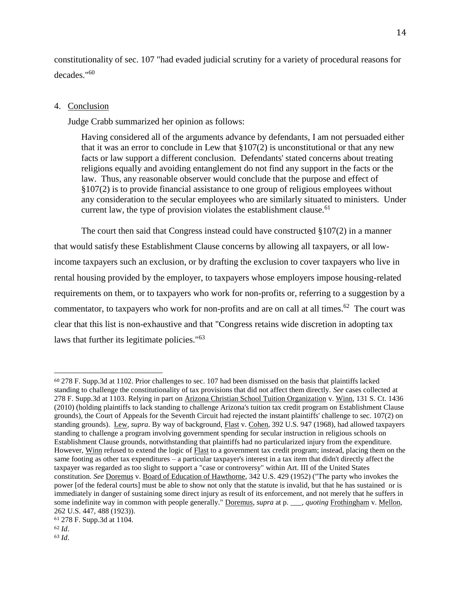constitutionality of sec. 107 "had evaded judicial scrutiny for a variety of procedural reasons for decades."<sup>60</sup>

#### 4. Conclusion

Judge Crabb summarized her opinion as follows:

Having considered all of the arguments advance by defendants, I am not persuaded either that it was an error to conclude in Lew that  $\S 107(2)$  is unconstitutional or that any new facts or law support a different conclusion. Defendants' stated concerns about treating religions equally and avoiding entanglement do not find any support in the facts or the law. Thus, any reasonable observer would conclude that the purpose and effect of §107(2) is to provide financial assistance to one group of religious employees without any consideration to the secular employees who are similarly situated to ministers. Under current law, the type of provision violates the establishment clause.  $61$ 

The court then said that Congress instead could have constructed  $\S 107(2)$  in a manner that would satisfy these Establishment Clause concerns by allowing all taxpayers, or all lowincome taxpayers such an exclusion, or by drafting the exclusion to cover taxpayers who live in rental housing provided by the employer, to taxpayers whose employers impose housing-related requirements on them, or to taxpayers who work for non-profits or, referring to a suggestion by a commentator, to taxpayers who work for non-profits and are on call at all times.<sup>62</sup> The court was clear that this list is non-exhaustive and that "Congress retains wide discretion in adopting tax laws that further its legitimate policies."<sup>63</sup>

<sup>60</sup> 278 F. Supp.3d at 1102. Prior challenges to sec. 107 had been dismissed on the basis that plaintiffs lacked standing to challenge the constitutionality of tax provisions that did not affect them directly. *See* cases collected at 278 F. Supp.3d at 1103. Relying in part on Arizona Christian School Tuition Organization v. Winn, 131 S. Ct. 1436 (2010) (holding plaintiffs to lack standing to challenge Arizona's tuition tax credit program on Establishment Clause grounds), the Court of Appeals for the Seventh Circuit had rejected the instant plaintiffs' challenge to sec. 107(2) on standing grounds). Lew, *supra*. By way of background, Flast v. Cohen, 392 U.S. 947 (1968), had allowed taxpayers standing to challenge a program involving government spending for secular instruction in religious schools on Establishment Clause grounds, notwithstanding that plaintiffs had no particularized injury from the expenditure. However, Winn refused to extend the logic of Flast to a government tax credit program; instead, placing them on the same footing as other tax expenditures – a particular taxpayer's interest in a tax item that didn't directly affect the taxpayer was regarded as too slight to support a "case or controversy" within Art. III of the United States constitution. *See* Doremus v. Board of Education of Hawthorne, 342 U.S. 429 (1952) ("The party who invokes the power [of the federal courts] must be able to show not only that the statute is invalid, but that he has sustained or is immediately in danger of sustaining some direct injury as result of its enforcement, and not merely that he suffers in some indefinite way in common with people generally." Doremus, *supra* at p. \_\_\_, *quoting* Frothingham v. Mellon, 262 U.S. 447, 488 (1923)).

<sup>61</sup> 278 F. Supp.3d at 1104.

<sup>62</sup> *Id*. <sup>63</sup> *Id*.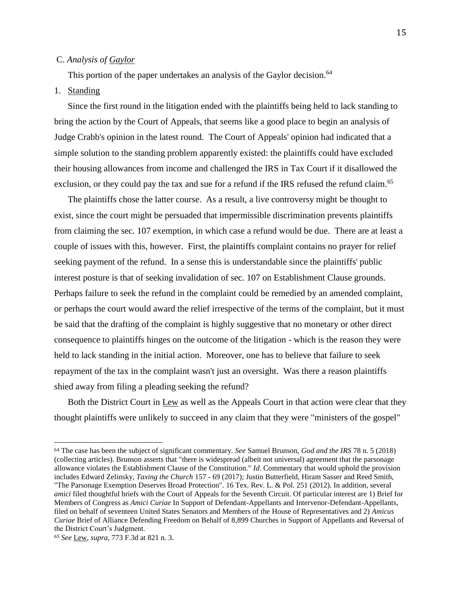## C. *Analysis of Gaylor*

This portion of the paper undertakes an analysis of the Gaylor decision.<sup>64</sup>

# 1. Standing

Since the first round in the litigation ended with the plaintiffs being held to lack standing to bring the action by the Court of Appeals, that seems like a good place to begin an analysis of Judge Crabb's opinion in the latest round. The Court of Appeals' opinion had indicated that a simple solution to the standing problem apparently existed: the plaintiffs could have excluded their housing allowances from income and challenged the IRS in Tax Court if it disallowed the exclusion, or they could pay the tax and sue for a refund if the IRS refused the refund claim.<sup>65</sup>

The plaintiffs chose the latter course. As a result, a live controversy might be thought to exist, since the court might be persuaded that impermissible discrimination prevents plaintiffs from claiming the sec. 107 exemption, in which case a refund would be due. There are at least a couple of issues with this, however. First, the plaintiffs complaint contains no prayer for relief seeking payment of the refund. In a sense this is understandable since the plaintiffs' public interest posture is that of seeking invalidation of sec. 107 on Establishment Clause grounds. Perhaps failure to seek the refund in the complaint could be remedied by an amended complaint, or perhaps the court would award the relief irrespective of the terms of the complaint, but it must be said that the drafting of the complaint is highly suggestive that no monetary or other direct consequence to plaintiffs hinges on the outcome of the litigation - which is the reason they were held to lack standing in the initial action. Moreover, one has to believe that failure to seek repayment of the tax in the complaint wasn't just an oversight. Was there a reason plaintiffs shied away from filing a pleading seeking the refund?

Both the District Court in Lew as well as the Appeals Court in that action were clear that they thought plaintiffs were unlikely to succeed in any claim that they were "ministers of the gospel"

<sup>64</sup> The case has been the subject of significant commentary. *See* Samuel Brunson, *God and the IRS* 78 n. 5 (2018) (collecting articles). Brunson asserts that "there is widespread (albeit not universal) agreement that the parsonage allowance violates the Establishment Clause of the Constitution." *Id*. Commentary that would uphold the provision includes Edward Zelinsky, *Taxing the Church* 157 - 69 (2017); Justin Butterfield, Hiram Sasser and Reed Smith, "The Parsonage Exemption Deserves Broad Protection". 16 Tex. Rev. L. & Pol. 251 (2012). In addition, several *amici* filed thoughtful briefs with the Court of Appeals for the Seventh Circuit. Of particular interest are 1) Brief for Members of Congress as *Amici Curiae* In Support of Defendant-Appellants and Intervenor-Defendant-Appellants, filed on behalf of seventeen United States Senators and Members of the House of Representatives and 2) *Amicus Curiae* Brief of Alliance Defending Freedom on Behalf of 8,899 Churches in Support of Appellants and Reversal of the District Court's Judgment.

<sup>65</sup> *See* Lew, *supra*, 773 F.3d at 821 n. 3.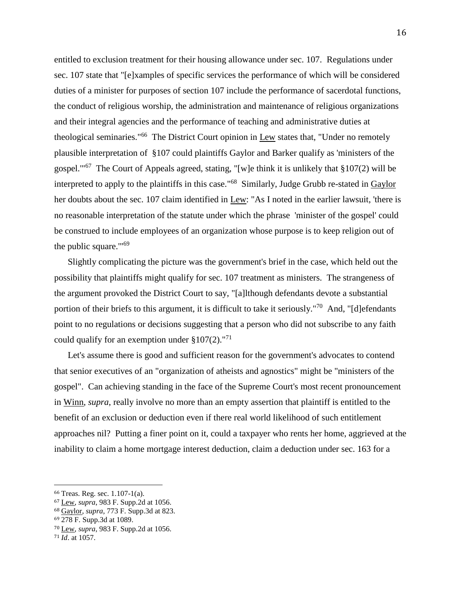entitled to exclusion treatment for their housing allowance under sec. 107. Regulations under sec. 107 state that "[e]xamples of specific services the performance of which will be considered duties of a minister for purposes of section 107 include the performance of sacerdotal functions, the conduct of religious worship, the administration and maintenance of religious organizations and their integral agencies and the performance of teaching and administrative duties at theological seminaries."<sup>66</sup> The District Court opinion in Lew states that, "Under no remotely plausible interpretation of §107 could plaintiffs Gaylor and Barker qualify as 'ministers of the gospel."<sup>67</sup> The Court of Appeals agreed, stating, "[w]e think it is unlikely that §107(2) will be interpreted to apply to the plaintiffs in this case."<sup>68</sup> Similarly, Judge Grubb re-stated in Gaylor her doubts about the sec. 107 claim identified in Lew: "As I noted in the earlier lawsuit, 'there is no reasonable interpretation of the statute under which the phrase 'minister of the gospel' could be construed to include employees of an organization whose purpose is to keep religion out of the public square.'"<sup>69</sup>

Slightly complicating the picture was the government's brief in the case, which held out the possibility that plaintiffs might qualify for sec. 107 treatment as ministers. The strangeness of the argument provoked the District Court to say, "[a]lthough defendants devote a substantial portion of their briefs to this argument, it is difficult to take it seriously."<sup>70</sup> And, "[d]efendants point to no regulations or decisions suggesting that a person who did not subscribe to any faith could qualify for an exemption under  $$107(2).$ <sup>"71</sup>

Let's assume there is good and sufficient reason for the government's advocates to contend that senior executives of an "organization of atheists and agnostics" might be "ministers of the gospel". Can achieving standing in the face of the Supreme Court's most recent pronouncement in Winn, *supra*, really involve no more than an empty assertion that plaintiff is entitled to the benefit of an exclusion or deduction even if there real world likelihood of such entitlement approaches nil? Putting a finer point on it, could a taxpayer who rents her home, aggrieved at the inability to claim a home mortgage interest deduction, claim a deduction under sec. 163 for a

<sup>66</sup> Treas. Reg. sec. 1.107-1(a).

<sup>67</sup> Lew, *supra*, 983 F. Supp.2d at 1056.

<sup>68</sup> Gaylor, *supra*, 773 F. Supp.3d at 823.

<sup>69</sup> 278 F. Supp.3d at 1089.

<sup>70</sup> Lew, *supra*, 983 F. Supp.2d at 1056.

<sup>71</sup> *Id*. at 1057.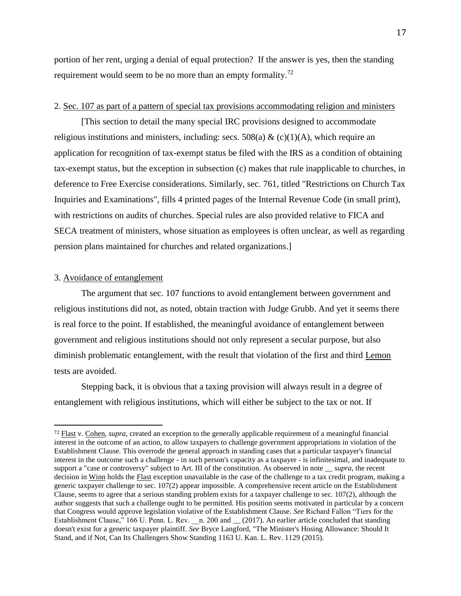portion of her rent, urging a denial of equal protection? If the answer is yes, then the standing requirement would seem to be no more than an empty formality.<sup>72</sup>

## 2. Sec. 107 as part of a pattern of special tax provisions accommodating religion and ministers

[This section to detail the many special IRC provisions designed to accommodate religious institutions and ministers, including: secs. 508(a) & (c)(1)(A), which require an application for recognition of tax-exempt status be filed with the IRS as a condition of obtaining tax-exempt status, but the exception in subsection (c) makes that rule inapplicable to churches, in deference to Free Exercise considerations. Similarly, sec. 761, titled "Restrictions on Church Tax Inquiries and Examinations", fills 4 printed pages of the Internal Revenue Code (in small print), with restrictions on audits of churches. Special rules are also provided relative to FICA and SECA treatment of ministers, whose situation as employees is often unclear, as well as regarding pension plans maintained for churches and related organizations.]

# 3. Avoidance of entanglement

l

The argument that sec. 107 functions to avoid entanglement between government and religious institutions did not, as noted, obtain traction with Judge Grubb. And yet it seems there is real force to the point. If established, the meaningful avoidance of entanglement between government and religious institutions should not only represent a secular purpose, but also diminish problematic entanglement, with the result that violation of the first and third Lemon tests are avoided.

Stepping back, it is obvious that a taxing provision will always result in a degree of entanglement with religious institutions, which will either be subject to the tax or not. If

<sup>72</sup> Flast v. Cohen, *supra*, created an exception to the generally applicable requirement of a meaningful financial interest in the outcome of an action, to allow taxpayers to challenge government appropriations in violation of the Establishment Clause. This overrode the general approach in standing cases that a particular taxpayer's financial interest in the outcome such a challenge - in such person's capacity as a taxpayer - is infinitesimal, and inadequate to support a "case or controversy" subject to Art. III of the constitution. As observed in note \_\_ *supra*, the recent decision in Winn holds the Flast exception unavailable in the case of the challenge to a tax credit program, making a generic taxpayer challenge to sec. 107(2) appear impossible. A comprehensive recent article on the Establishment Clause, seems to agree that a serious standing problem exists for a taxpayer challenge to sec. 107(2), although the author suggests that such a challenge ought to be permitted. His position seems motivated in particular by a concern that Congress would approve legislation violative of the Establishment Clause. *See* Richard Fallon "Tiers for the Establishment Clause," 166 U. Penn. L. Rev. \_n. 200 and \_ (2017). An earlier article concluded that standing doesn't exist for a generic taxpayer plaintiff. *See* Bryce Langford, "The Minister's Hosing Allowance: Should It Stand, and if Not, Can Its Challengers Show Standing 1163 U. Kan. L. Rev. 1129 (2015).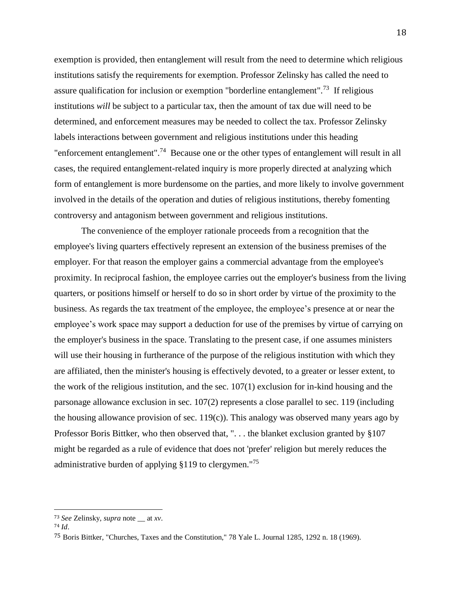exemption is provided, then entanglement will result from the need to determine which religious institutions satisfy the requirements for exemption. Professor Zelinsky has called the need to assure qualification for inclusion or exemption "borderline entanglement".<sup>73</sup> If religious institutions *will* be subject to a particular tax, then the amount of tax due will need to be determined, and enforcement measures may be needed to collect the tax. Professor Zelinsky labels interactions between government and religious institutions under this heading "enforcement entanglement".<sup>74</sup> Because one or the other types of entanglement will result in all cases, the required entanglement-related inquiry is more properly directed at analyzing which form of entanglement is more burdensome on the parties, and more likely to involve government involved in the details of the operation and duties of religious institutions, thereby fomenting controversy and antagonism between government and religious institutions.

The convenience of the employer rationale proceeds from a recognition that the employee's living quarters effectively represent an extension of the business premises of the employer. For that reason the employer gains a commercial advantage from the employee's proximity. In reciprocal fashion, the employee carries out the employer's business from the living quarters, or positions himself or herself to do so in short order by virtue of the proximity to the business. As regards the tax treatment of the employee, the employee's presence at or near the employee's work space may support a deduction for use of the premises by virtue of carrying on the employer's business in the space. Translating to the present case, if one assumes ministers will use their housing in furtherance of the purpose of the religious institution with which they are affiliated, then the minister's housing is effectively devoted, to a greater or lesser extent, to the work of the religious institution, and the sec. 107(1) exclusion for in-kind housing and the parsonage allowance exclusion in sec. 107(2) represents a close parallel to sec. 119 (including the housing allowance provision of sec. 119(c)). This analogy was observed many years ago by Professor Boris Bittker, who then observed that, "... the blanket exclusion granted by §107 might be regarded as a rule of evidence that does not 'prefer' religion but merely reduces the administrative burden of applying §119 to clergymen."<sup>75</sup>

<sup>73</sup> *See* Zelinsky, *supra* note \_\_ at *xv*.

<sup>74</sup> *Id*.

<sup>75</sup> Boris Bittker, "Churches, Taxes and the Constitution," 78 Yale L. Journal 1285, 1292 n. 18 (1969).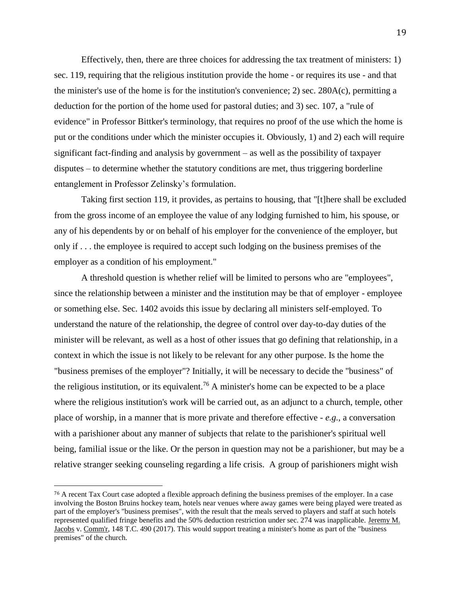Effectively, then, there are three choices for addressing the tax treatment of ministers: 1) sec. 119, requiring that the religious institution provide the home - or requires its use - and that the minister's use of the home is for the institution's convenience; 2) sec. 280A(c), permitting a deduction for the portion of the home used for pastoral duties; and 3) sec. 107, a "rule of evidence" in Professor Bittker's terminology, that requires no proof of the use which the home is put or the conditions under which the minister occupies it. Obviously, 1) and 2) each will require significant fact-finding and analysis by government – as well as the possibility of taxpayer disputes – to determine whether the statutory conditions are met, thus triggering borderline entanglement in Professor Zelinsky's formulation.

Taking first section 119, it provides, as pertains to housing, that "[t]here shall be excluded from the gross income of an employee the value of any lodging furnished to him, his spouse, or any of his dependents by or on behalf of his employer for the convenience of the employer, but only if . . . the employee is required to accept such lodging on the business premises of the employer as a condition of his employment."

A threshold question is whether relief will be limited to persons who are "employees", since the relationship between a minister and the institution may be that of employer - employee or something else. Sec. 1402 avoids this issue by declaring all ministers self-employed. To understand the nature of the relationship, the degree of control over day-to-day duties of the minister will be relevant, as well as a host of other issues that go defining that relationship, in a context in which the issue is not likely to be relevant for any other purpose. Is the home the "business premises of the employer"? Initially, it will be necessary to decide the "business" of the religious institution, or its equivalent.<sup>76</sup> A minister's home can be expected to be a place where the religious institution's work will be carried out, as an adjunct to a church, temple, other place of worship, in a manner that is more private and therefore effective - *e.g.*, a conversation with a parishioner about any manner of subjects that relate to the parishioner's spiritual well being, familial issue or the like. Or the person in question may not be a parishioner, but may be a relative stranger seeking counseling regarding a life crisis. A group of parishioners might wish

<sup>76</sup> A recent Tax Court case adopted a flexible approach defining the business premises of the employer. In a case involving the Boston Bruins hockey team, hotels near venues where away games were being played were treated as part of the employer's "business premises", with the result that the meals served to players and staff at such hotels represented qualified fringe benefits and the 50% deduction restriction under sec. 274 was inapplicable. Jeremy M. Jacobs v. Comm'r, 148 T.C. 490 (2017). This would support treating a minister's home as part of the "business premises" of the church.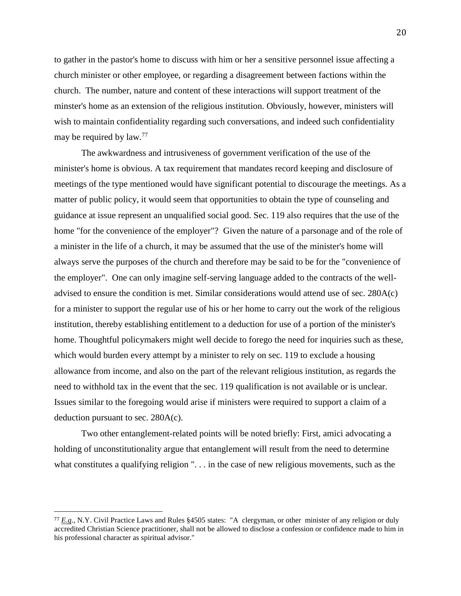to gather in the pastor's home to discuss with him or her a sensitive personnel issue affecting a church minister or other employee, or regarding a disagreement between factions within the church. The number, nature and content of these interactions will support treatment of the minster's home as an extension of the religious institution. Obviously, however, ministers will wish to maintain confidentiality regarding such conversations, and indeed such confidentiality may be required by law.<sup>77</sup>

The awkwardness and intrusiveness of government verification of the use of the minister's home is obvious. A tax requirement that mandates record keeping and disclosure of meetings of the type mentioned would have significant potential to discourage the meetings. As a matter of public policy, it would seem that opportunities to obtain the type of counseling and guidance at issue represent an unqualified social good. Sec. 119 also requires that the use of the home "for the convenience of the employer"? Given the nature of a parsonage and of the role of a minister in the life of a church, it may be assumed that the use of the minister's home will always serve the purposes of the church and therefore may be said to be for the "convenience of the employer". One can only imagine self-serving language added to the contracts of the welladvised to ensure the condition is met. Similar considerations would attend use of sec. 280A(c) for a minister to support the regular use of his or her home to carry out the work of the religious institution, thereby establishing entitlement to a deduction for use of a portion of the minister's home. Thoughtful policymakers might well decide to forego the need for inquiries such as these, which would burden every attempt by a minister to rely on sec. 119 to exclude a housing allowance from income, and also on the part of the relevant religious institution, as regards the need to withhold tax in the event that the sec. 119 qualification is not available or is unclear. Issues similar to the foregoing would arise if ministers were required to support a claim of a deduction pursuant to sec. 280A(c).

Two other entanglement-related points will be noted briefly: First, amici advocating a holding of unconstitutionality argue that entanglement will result from the need to determine what constitutes a qualifying religion ". . . in the case of new religious movements, such as the

<sup>77</sup> *E.g*., N.Y. Civil Practice Laws and Rules §4505 states: "A clergyman, or other minister of any religion or duly accredited Christian Science practitioner, shall not be allowed to disclose a confession or confidence made to him in his professional character as spiritual advisor."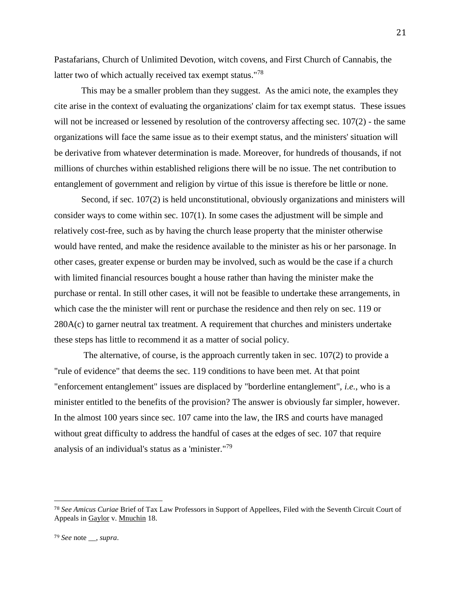Pastafarians, Church of Unlimited Devotion, witch covens, and First Church of Cannabis, the latter two of which actually received tax exempt status."<sup>78</sup>

This may be a smaller problem than they suggest. As the amici note, the examples they cite arise in the context of evaluating the organizations' claim for tax exempt status. These issues will not be increased or lessened by resolution of the controversy affecting sec. 107(2) - the same organizations will face the same issue as to their exempt status, and the ministers' situation will be derivative from whatever determination is made. Moreover, for hundreds of thousands, if not millions of churches within established religions there will be no issue. The net contribution to entanglement of government and religion by virtue of this issue is therefore be little or none.

Second, if sec. 107(2) is held unconstitutional, obviously organizations and ministers will consider ways to come within sec. 107(1). In some cases the adjustment will be simple and relatively cost-free, such as by having the church lease property that the minister otherwise would have rented, and make the residence available to the minister as his or her parsonage. In other cases, greater expense or burden may be involved, such as would be the case if a church with limited financial resources bought a house rather than having the minister make the purchase or rental. In still other cases, it will not be feasible to undertake these arrangements, in which case the the minister will rent or purchase the residence and then rely on sec. 119 or 280A(c) to garner neutral tax treatment. A requirement that churches and ministers undertake these steps has little to recommend it as a matter of social policy.

The alternative, of course, is the approach currently taken in sec. 107(2) to provide a "rule of evidence" that deems the sec. 119 conditions to have been met. At that point "enforcement entanglement" issues are displaced by "borderline entanglement", *i.e.*, who is a minister entitled to the benefits of the provision? The answer is obviously far simpler, however. In the almost 100 years since sec. 107 came into the law, the IRS and courts have managed without great difficulty to address the handful of cases at the edges of sec. 107 that require analysis of an individual's status as a 'minister."<sup>79</sup>

<sup>78</sup> *See Amicus Curiae* Brief of Tax Law Professors in Support of Appellees, Filed with the Seventh Circuit Court of Appeals in Gaylor v. Mnuchin 18.

<sup>79</sup> *See* note \_\_, *supra*.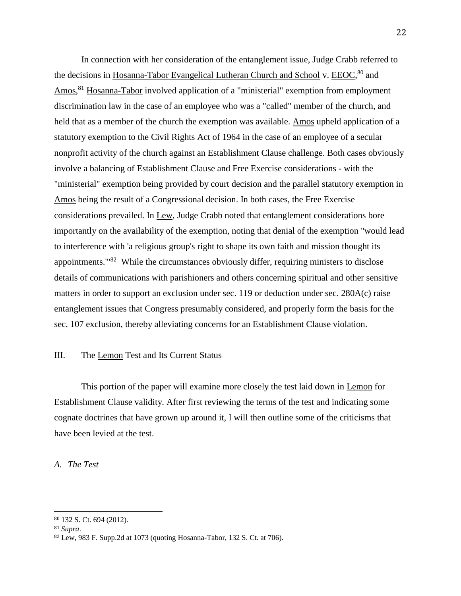In connection with her consideration of the entanglement issue, Judge Crabb referred to the decisions in Hosanna-Tabor Evangelical Lutheran Church and School v. EEOC,<sup>80</sup> and Amos,<sup>81</sup> Hosanna-Tabor involved application of a "ministerial" exemption from employment discrimination law in the case of an employee who was a "called" member of the church, and held that as a member of the church the exemption was available. Amos upheld application of a statutory exemption to the Civil Rights Act of 1964 in the case of an employee of a secular nonprofit activity of the church against an Establishment Clause challenge. Both cases obviously involve a balancing of Establishment Clause and Free Exercise considerations - with the "ministerial" exemption being provided by court decision and the parallel statutory exemption in Amos being the result of a Congressional decision. In both cases, the Free Exercise considerations prevailed. In Lew, Judge Crabb noted that entanglement considerations bore importantly on the availability of the exemption, noting that denial of the exemption "would lead to interference with 'a religious group's right to shape its own faith and mission thought its appointments.<sup>"82</sup> While the circumstances obviously differ, requiring ministers to disclose details of communications with parishioners and others concerning spiritual and other sensitive matters in order to support an exclusion under sec. 119 or deduction under sec. 280A(c) raise entanglement issues that Congress presumably considered, and properly form the basis for the sec. 107 exclusion, thereby alleviating concerns for an Establishment Clause violation.

## III. The Lemon Test and Its Current Status

This portion of the paper will examine more closely the test laid down in Lemon for Establishment Clause validity. After first reviewing the terms of the test and indicating some cognate doctrines that have grown up around it, I will then outline some of the criticisms that have been levied at the test.

## *A. The Test*

<sup>80</sup> 132 S. Ct. 694 (2012).

<sup>81</sup> *Supra*.

<sup>82</sup> Lew, 983 F. Supp.2d at 1073 (quoting Hosanna-Tabor, 132 S. Ct. at 706).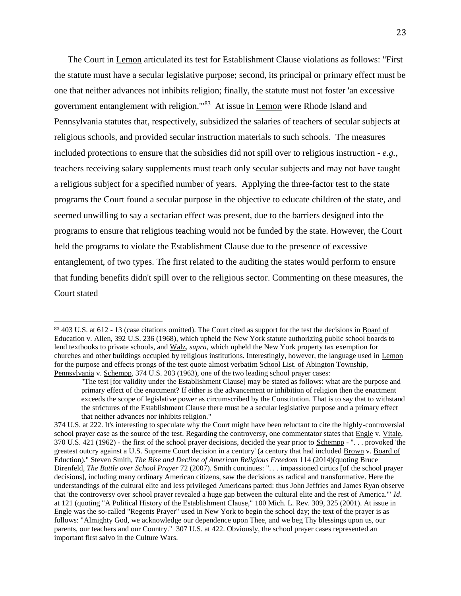The Court in Lemon articulated its test for Establishment Clause violations as follows: "First the statute must have a secular legislative purpose; second, its principal or primary effect must be one that neither advances not inhibits religion; finally, the statute must not foster 'an excessive government entanglement with religion.'"<sup>83</sup> At issue in Lemon were Rhode Island and Pennsylvania statutes that, respectively, subsidized the salaries of teachers of secular subjects at religious schools, and provided secular instruction materials to such schools. The measures included protections to ensure that the subsidies did not spill over to religious instruction - *e.g.*, teachers receiving salary supplements must teach only secular subjects and may not have taught a religious subject for a specified number of years. Applying the three-factor test to the state programs the Court found a secular purpose in the objective to educate children of the state, and seemed unwilling to say a sectarian effect was present, due to the barriers designed into the programs to ensure that religious teaching would not be funded by the state. However, the Court held the programs to violate the Establishment Clause due to the presence of excessive entanglement, of two types. The first related to the auditing the states would perform to ensure that funding benefits didn't spill over to the religious sector. Commenting on these measures, the Court stated

<sup>83</sup> 403 U.S. at 612 - 13 (case citations omitted). The Court cited as support for the test the decisions in Board of Education v. Allen, 392 U.S. 236 (1968), which upheld the New York statute authorizing public school boards to lend textbooks to private schools, and Walz, *supra*, which upheld the New York property tax exemption for churches and other buildings occupied by religious institutions. Interestingly, however, the language used in Lemon for the purpose and effects prongs of the test quote almost verbatim School List. of Abington Township, Pennsylvania v. Schempp, 374 U.S. 203 (1963), one of the two leading school prayer cases:

<sup>&</sup>quot;The test [for validity under the Establishment Clause] may be stated as follows: what are the purpose and primary effect of the enactment? If either is the advancement or inhibition of religion then the enactment exceeds the scope of legislative power as circumscribed by the Constitution. That is to say that to withstand the strictures of the Establishment Clause there must be a secular legislative purpose and a primary effect that neither advances nor inhibits religion."

<sup>374</sup> U.S. at 222. It's interesting to speculate why the Court might have been reluctant to cite the highly-controversial school prayer case as the source of the test. Regarding the controversy, one commentator states that Engle v. Vitale, 370 U.S. 421 (1962) - the first of the school prayer decisions, decided the year prior to Schempp - ". . . provoked 'the greatest outcry against a U.S. Supreme Court decision in a century' (a century that had included Brown v. Board of Eduction)." Steven Smith, *The Rise and Decline of American Religious Freedom* 114 (2014)(quoting Bruce Direnfeld, *The Battle over School Prayer* 72 (2007). Smith continues: ". . . impassioned cirtics [of the school prayer decisions], including many ordinary American citizens, saw the decisions as radical and transformative. Here the understandings of the cultural elite and less privileged Americans parted: thus John Jeffries and James Ryan observe that 'the controversy over school prayer revealed a huge gap between the cultural elite and the rest of America.'" *Id*. at 121 (quoting "A Political History of the Establishment Clause," 100 Mich. L. Rev. 309, 325 (2001). At issue in Engle was the so-called "Regents Prayer" used in New York to begin the school day; the text of the prayer is as follows: "Almighty God, we acknowledge our dependence upon Thee, and we beg Thy blessings upon us, our parents, our teachers and our Country." 307 U.S. at 422. Obviously, the school prayer cases represented an important first salvo in the Culture Wars.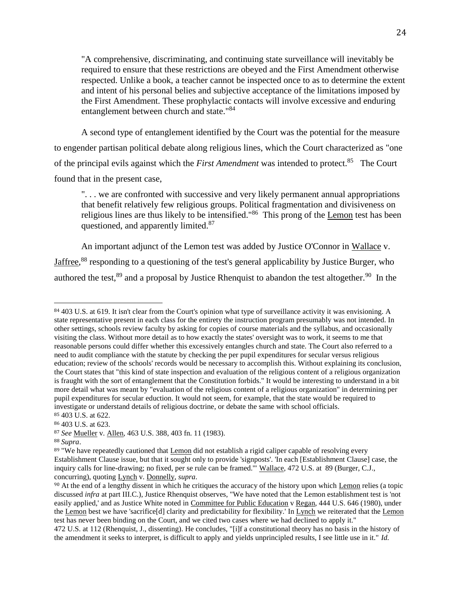"A comprehensive, discriminating, and continuing state surveillance will inevitably be required to ensure that these restrictions are obeyed and the First Amendment otherwise respected. Unlike a book, a teacher cannot be inspected once to as to determine the extent and intent of his personal belies and subjective acceptance of the limitations imposed by the First Amendment. These prophylactic contacts will involve excessive and enduring entanglement between church and state."<sup>84</sup>

A second type of entanglement identified by the Court was the potential for the measure to engender partisan political debate along religious lines, which the Court characterized as "one of the principal evils against which the *First Amendment* was intended to protect.<sup>85</sup> The Court found that in the present case,

". . . we are confronted with successive and very likely permanent annual appropriations that benefit relatively few religious groups. Political fragmentation and divisiveness on religious lines are thus likely to be intensified."<sup>86</sup> This prong of the Lemon test has been questioned, and apparently limited.<sup>87</sup>

An important adjunct of the Lemon test was added by Justice O'Connor in Wallace v. Jaffree,<sup>88</sup> responding to a questioning of the test's general applicability by Justice Burger, who authored the test,  $89$  and a proposal by Justice Rhenquist to abandon the test altogether.  $90$  In the

<sup>&</sup>lt;sup>84</sup> 403 U.S. at 619. It isn't clear from the Court's opinion what type of surveillance activity it was envisioning. A state representative present in each class for the entirety the instruction program presumably was not intended. In other settings, schools review faculty by asking for copies of course materials and the syllabus, and occasionally visiting the class. Without more detail as to how exactly the states' oversight was to work, it seems to me that reasonable persons could differ whether this excessively entangles church and state. The Court also referred to a need to audit compliance with the statute by checking the per pupil expenditures for secular versus religious education; review of the schools' records would be necessary to accomplish this. Without explaining its conclusion, the Court states that "this kind of state inspection and evaluation of the religious content of a religious organization is fraught with the sort of entanglement that the Constitution forbids." It would be interesting to understand in a bit more detail what was meant by "evaluation of the religious content of a religious organization" in determining per pupil expenditures for secular eduction. It would not seem, for example, that the state would be required to investigate or understand details of religious doctrine, or debate the same with school officials. <sup>85</sup> 403 U.S. at 622.

<sup>86</sup> 403 U.S. at 623.

<sup>87</sup> *See* Mueller v. Allen, 463 U.S. 388, 403 fn. 11 (1983).

<sup>88</sup> *Supra*.

<sup>&</sup>lt;sup>89</sup> "We have repeatedly cautioned that Lemon did not establish a rigid caliper capable of resolving every Establishment Clause issue, but that it sought only to provide 'signposts'. 'In each [Establishment Clause] case, the inquiry calls for line-drawing; no fixed, per se rule can be framed.'" Wallace, 472 U.S. at 89 (Burger, C.J., concurring), quoting Lynch v. Donnelly, *supra*.

<sup>90</sup> At the end of a lengthy dissent in which he critiques the accuracy of the history upon which Lemon relies (a topic discussed *infra* at part III.C.), Justice Rhenquist observes, "We have noted that the Lemon establishment test is 'not easily applied,' and as Justice White noted in Committee for Public Education v Regan, 444 U.S. 646 (1980), under the Lemon best we have 'sacrifice[d] clarity and predictability for flexibility.' In Lynch we reiterated that the Lemon test has never been binding on the Court, and we cited two cases where we had declined to apply it."

<sup>472</sup> U.S. at 112 (Rhenquist, J., dissenting). He concludes, "[i]f a constitutional theory has no basis in the history of the amendment it seeks to interpret, is difficult to apply and yields unprincipled results, I see little use in it." *Id.*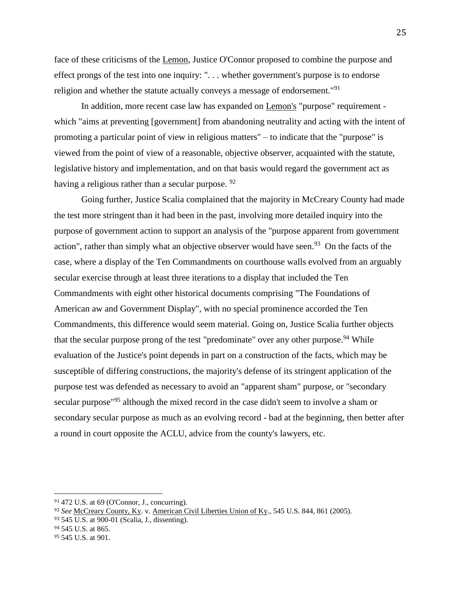face of these criticisms of the Lemon, Justice O'Connor proposed to combine the purpose and effect prongs of the test into one inquiry: ". . . whether government's purpose is to endorse religion and whether the statute actually conveys a message of endorsement."<sup>91</sup>

In addition, more recent case law has expanded on Lemon's "purpose" requirement which "aims at preventing [government] from abandoning neutrality and acting with the intent of promoting a particular point of view in religious matters" – to indicate that the "purpose" is viewed from the point of view of a reasonable, objective observer, acquainted with the statute, legislative history and implementation, and on that basis would regard the government act as having a religious rather than a secular purpose. <sup>92</sup>

Going further, Justice Scalia complained that the majority in McCreary County had made the test more stringent than it had been in the past, involving more detailed inquiry into the purpose of government action to support an analysis of the "purpose apparent from government action", rather than simply what an objective observer would have seen.<sup>93</sup> On the facts of the case, where a display of the Ten Commandments on courthouse walls evolved from an arguably secular exercise through at least three iterations to a display that included the Ten Commandments with eight other historical documents comprising "The Foundations of American aw and Government Display", with no special prominence accorded the Ten Commandments, this difference would seem material. Going on, Justice Scalia further objects that the secular purpose prong of the test "predominate" over any other purpose.<sup>94</sup> While evaluation of the Justice's point depends in part on a construction of the facts, which may be susceptible of differing constructions, the majority's defense of its stringent application of the purpose test was defended as necessary to avoid an "apparent sham" purpose, or "secondary secular purpose<sup>"95</sup> although the mixed record in the case didn't seem to involve a sham or secondary secular purpose as much as an evolving record - bad at the beginning, then better after a round in court opposite the ACLU, advice from the county's lawyers, etc.

<sup>91</sup> 472 U.S. at 69 (O'Connor, J., concurring).

<sup>92</sup> *See* McCreary County, Ky. v. American Civil Liberties Union of Ky., 545 U.S. 844, 861 (2005).

<sup>93</sup> 545 U.S. at 900-01 (Scalia, J., dissenting).

<sup>94</sup> 545 U.S. at 865.

<sup>95</sup> 545 U.S. at 901.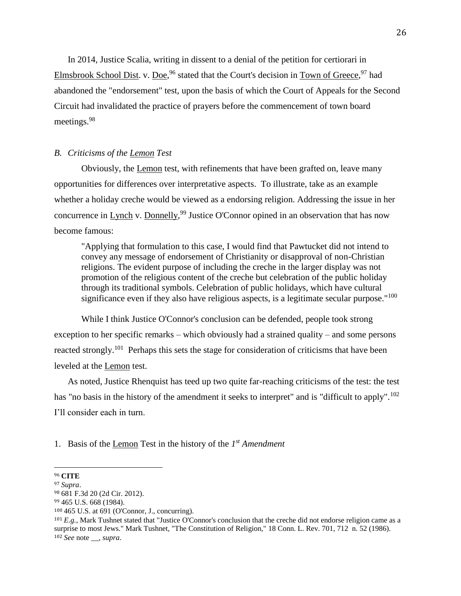In 2014, Justice Scalia, writing in dissent to a denial of the petition for certiorari in Elmsbrook School Dist. v. Doe,<sup>96</sup> stated that the Court's decision in Town of Greece,<sup>97</sup> had abandoned the "endorsement" test, upon the basis of which the Court of Appeals for the Second Circuit had invalidated the practice of prayers before the commencement of town board meetings.<sup>98</sup>

## *B. Criticisms of the Lemon Test*

Obviously, the Lemon test, with refinements that have been grafted on, leave many opportunities for differences over interpretative aspects. To illustrate, take as an example whether a holiday creche would be viewed as a endorsing religion. Addressing the issue in her concurrence in Lynch v. Donnelly,<sup>99</sup> Justice O'Connor opined in an observation that has now become famous:

"Applying that formulation to this case, I would find that Pawtucket did not intend to convey any message of endorsement of Christianity or disapproval of non-Christian religions. The evident purpose of including the creche in the larger display was not promotion of the religious content of the creche but celebration of the public holiday through its traditional symbols. Celebration of public holidays, which have cultural significance even if they also have religious aspects, is a legitimate secular purpose."<sup>100</sup>

While I think Justice O'Connor's conclusion can be defended, people took strong exception to her specific remarks – which obviously had a strained quality – and some persons reacted strongly.<sup>101</sup> Perhaps this sets the stage for consideration of criticisms that have been leveled at the Lemon test.

As noted, Justice Rhenquist has teed up two quite far-reaching criticisms of the test: the test has "no basis in the history of the amendment it seeks to interpret" and is "difficult to apply".<sup>102</sup> I'll consider each in turn.

1. Basis of the Lemon Test in the history of the *1 st Amendment*

<sup>96</sup> **CITE**

<sup>97</sup> *Supra*.

<sup>98</sup> 681 F.3d 20 (2d Cir. 2012).

<sup>99</sup> 465 U.S. 668 (1984).

<sup>100</sup> 465 U.S. at 691 (O'Connor, J., concurring).

 $101 E.g., Mark$  Tushnet stated that "Justice O'Connor's conclusion that the creche did not endorse religion came as a surprise to most Jews." Mark Tushnet, "The Constitution of Religion," 18 Conn. L. Rev. 701, 712 n. 52 (1986). <sup>102</sup> *See* note \_\_, *supra*.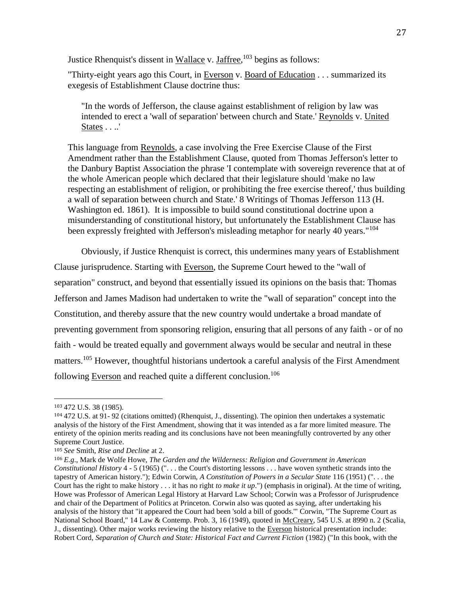Justice Rhenquist's dissent in Wallace v. Jaffree,<sup>103</sup> begins as follows:

"Thirty-eight years ago this Court, in Everson v. Board of Education . . . summarized its exegesis of Establishment Clause doctrine thus:

"In the words of Jefferson, the clause against establishment of religion by law was intended to erect a 'wall of separation' between church and State.' Reynolds v. United States . . ..'

This language from Reynolds, a case involving the Free Exercise Clause of the First Amendment rather than the Establishment Clause, quoted from Thomas Jefferson's letter to the Danbury Baptist Association the phrase 'I contemplate with sovereign reverence that at of the whole American people which declared that their legislature should 'make no law respecting an establishment of religion, or prohibiting the free exercise thereof,' thus building a wall of separation between church and State.' 8 Writings of Thomas Jefferson 113 (H. Washington ed. 1861). It is impossible to build sound constitutional doctrine upon a misunderstanding of constitutional history, but unfortunately the Establishment Clause has been expressly freighted with Jefferson's misleading metaphor for nearly 40 years."<sup>104</sup>

Obviously, if Justice Rhenquist is correct, this undermines many years of Establishment Clause jurisprudence. Starting with Everson, the Supreme Court hewed to the "wall of separation" construct, and beyond that essentially issued its opinions on the basis that: Thomas Jefferson and James Madison had undertaken to write the "wall of separation" concept into the Constitution, and thereby assure that the new country would undertake a broad mandate of preventing government from sponsoring religion, ensuring that all persons of any faith - or of no faith - would be treated equally and government always would be secular and neutral in these matters.<sup>105</sup> However, thoughtful historians undertook a careful analysis of the First Amendment following Everson and reached quite a different conclusion.<sup>106</sup>

<sup>103</sup> 472 U.S. 38 (1985).

<sup>104</sup> 472 U.S. at 91- 92 (citations omitted) (Rhenquist, J., dissenting). The opinion then undertakes a systematic analysis of the history of the First Amendment, showing that it was intended as a far more limited measure. The entirety of the opinion merits reading and its conclusions have not been meaningfully controverted by any other Supreme Court Justice.

<sup>105</sup> *See* Smith, *Rise and Decline* at 2.

<sup>106</sup> *E.g*., Mark de Wolfe Howe, *The Garden and the Wilderness: Religion and Government in American Constitutional History* 4 - 5 (1965) (". . . the Court's distorting lessons . . . have woven synthetic strands into the tapestry of American history."); Edwin Corwin, *A Constitution of Powers in a Secular State* 116 (1951) (". . . the Court has the right to make history . . . it has no right *to make it up*.") (emphasis in original). At the time of writing, Howe was Professor of American Legal History at Harvard Law School; Corwin was a Professor of Jurisprudence and chair of the Department of Politics at Princeton. Corwin also was quoted as saying, after undertaking his analysis of the history that "it appeared the Court had been 'sold a bill of goods.'" Corwin, "The Supreme Court as National School Board," 14 Law & Contemp. Prob. 3, 16 (1949), quoted in McCreary, 545 U.S. at 8990 n. 2 (Scalia, J., dissenting). Other major works reviewing the history relative to the Everson historical presentation include: Robert Cord, *Separation of Church and State: Historical Fact and Current Fiction* (1982) ("In this book, with the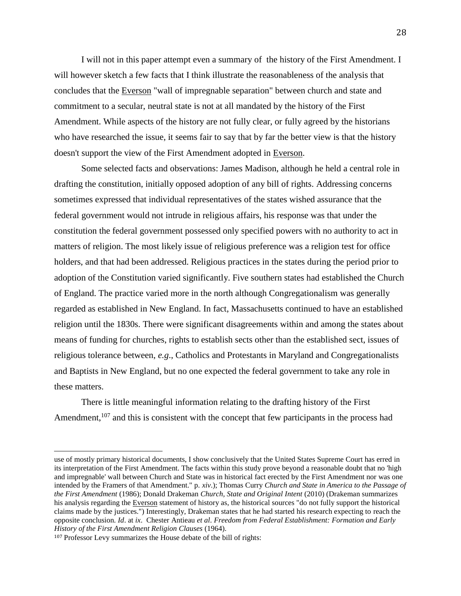I will not in this paper attempt even a summary of the history of the First Amendment. I will however sketch a few facts that I think illustrate the reasonableness of the analysis that concludes that the Everson "wall of impregnable separation" between church and state and commitment to a secular, neutral state is not at all mandated by the history of the First Amendment. While aspects of the history are not fully clear, or fully agreed by the historians who have researched the issue, it seems fair to say that by far the better view is that the history doesn't support the view of the First Amendment adopted in Everson.

Some selected facts and observations: James Madison, although he held a central role in drafting the constitution, initially opposed adoption of any bill of rights. Addressing concerns sometimes expressed that individual representatives of the states wished assurance that the federal government would not intrude in religious affairs, his response was that under the constitution the federal government possessed only specified powers with no authority to act in matters of religion. The most likely issue of religious preference was a religion test for office holders, and that had been addressed. Religious practices in the states during the period prior to adoption of the Constitution varied significantly. Five southern states had established the Church of England. The practice varied more in the north although Congregationalism was generally regarded as established in New England. In fact, Massachusetts continued to have an established religion until the 1830s. There were significant disagreements within and among the states about means of funding for churches, rights to establish sects other than the established sect, issues of religious tolerance between, *e.g*., Catholics and Protestants in Maryland and Congregationalists and Baptists in New England, but no one expected the federal government to take any role in these matters.

There is little meaningful information relating to the drafting history of the First Amendment,<sup>107</sup> and this is consistent with the concept that few participants in the process had

use of mostly primary historical documents, I show conclusively that the United States Supreme Court has erred in its interpretation of the First Amendment. The facts within this study prove beyond a reasonable doubt that no 'high and impregnable' wall between Church and State was in historical fact erected by the First Amendment nor was one intended by the Framers of that Amendment." p. *xiv*.); Thomas Curry *Church and State in America to the Passage of the First Amendment* (1986); Donald Drakeman *Church, State and Original Intent* (2010) (Drakeman summarizes his analysis regarding the Everson statement of history as, the historical sources "do not fully support the historical claims made by the justices.") Interestingly, Drakeman states that he had started his research expecting to reach the opposite conclusion. *Id*. at *ix*. Chester Antieau *et al*. *Freedom from Federal Establishment: Formation and Early History of the First Amendment Religion Clauses* (1964).

<sup>107</sup> Professor Levy summarizes the House debate of the bill of rights: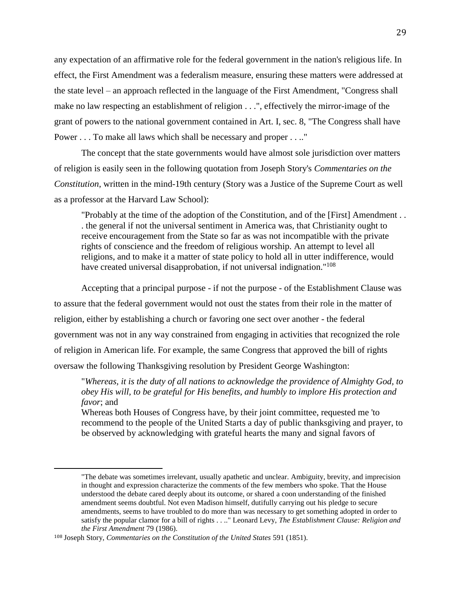any expectation of an affirmative role for the federal government in the nation's religious life. In effect, the First Amendment was a federalism measure, ensuring these matters were addressed at the state level – an approach reflected in the language of the First Amendment, "Congress shall make no law respecting an establishment of religion . . .", effectively the mirror-image of the grant of powers to the national government contained in Art. I, sec. 8, "The Congress shall have Power . . . To make all laws which shall be necessary and proper . . .."

The concept that the state governments would have almost sole jurisdiction over matters of religion is easily seen in the following quotation from Joseph Story's *Commentaries on the Constitution*, written in the mind-19th century (Story was a Justice of the Supreme Court as well as a professor at the Harvard Law School):

"Probably at the time of the adoption of the Constitution, and of the [First] Amendment . . . the general if not the universal sentiment in America was, that Christianity ought to receive encouragement from the State so far as was not incompatible with the private rights of conscience and the freedom of religious worship. An attempt to level all religions, and to make it a matter of state policy to hold all in utter indifference, would have created universal disapprobation, if not universal indignation."<sup>108</sup>

Accepting that a principal purpose - if not the purpose - of the Establishment Clause was to assure that the federal government would not oust the states from their role in the matter of religion, either by establishing a church or favoring one sect over another - the federal government was not in any way constrained from engaging in activities that recognized the role of religion in American life. For example, the same Congress that approved the bill of rights oversaw the following Thanksgiving resolution by President George Washington:

"*Whereas, it is the duty of all nations to acknowledge the providence of Almighty God, to obey His will, to be grateful for His benefits, and humbly to implore His protection and favor*; and

Whereas both Houses of Congress have, by their joint committee, requested me 'to recommend to the people of the United Starts a day of public thanksgiving and prayer, to be observed by acknowledging with grateful hearts the many and signal favors of

<sup>&</sup>quot;The debate was sometimes irrelevant, usually apathetic and unclear. Ambiguity, brevity, and imprecision in thought and expression characterize the comments of the few members who spoke. That the House understood the debate cared deeply about its outcome, or shared a coon understanding of the finished amendment seems doubtful. Not even Madison himself, dutifully carrying out his pledge to secure amendments, seems to have troubled to do more than was necessary to get something adopted in order to satisfy the popular clamor for a bill of rights . . .." Leonard Levy, *The Establishment Clause: Religion and the First Amendment* 79 (1986).

<sup>108</sup> Joseph Story, *Commentaries on the Constitution of the United States* 591 (1851).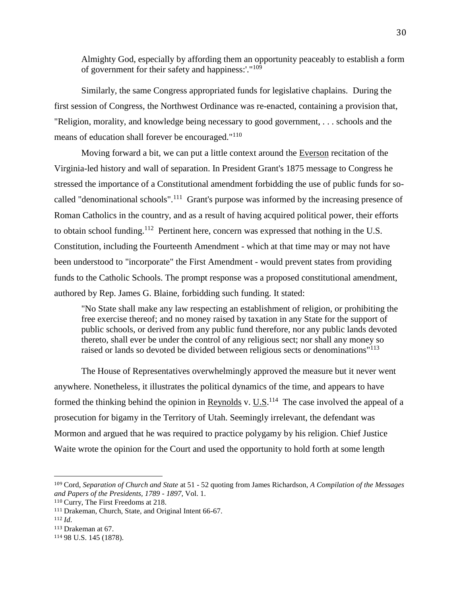Almighty God, especially by affording them an opportunity peaceably to establish a form of government for their safety and happiness:'."<sup>109</sup>

Similarly, the same Congress appropriated funds for legislative chaplains. During the first session of Congress, the Northwest Ordinance was re-enacted, containing a provision that, "Religion, morality, and knowledge being necessary to good government, . . . schools and the means of education shall forever be encouraged."<sup>110</sup>

Moving forward a bit, we can put a little context around the Everson recitation of the Virginia-led history and wall of separation. In President Grant's 1875 message to Congress he stressed the importance of a Constitutional amendment forbidding the use of public funds for socalled "denominational schools".<sup>111</sup> Grant's purpose was informed by the increasing presence of Roman Catholics in the country, and as a result of having acquired political power, their efforts to obtain school funding.<sup>112</sup> Pertinent here, concern was expressed that nothing in the U.S. Constitution, including the Fourteenth Amendment - which at that time may or may not have been understood to "incorporate" the First Amendment - would prevent states from providing funds to the Catholic Schools. The prompt response was a proposed constitutional amendment, authored by Rep. James G. Blaine, forbidding such funding. It stated:

"No State shall make any law respecting an establishment of religion, or prohibiting the free exercise thereof; and no money raised by taxation in any State for the support of public schools, or derived from any public fund therefore, nor any public lands devoted thereto, shall ever be under the control of any religious sect; nor shall any money so raised or lands so devoted be divided between religious sects or denominations"<sup>113</sup>

The House of Representatives overwhelmingly approved the measure but it never went anywhere. Nonetheless, it illustrates the political dynamics of the time, and appears to have formed the thinking behind the opinion in Reynolds v.  $U.S.<sup>114</sup>$  The case involved the appeal of a prosecution for bigamy in the Territory of Utah. Seemingly irrelevant, the defendant was Mormon and argued that he was required to practice polygamy by his religion. Chief Justice Waite wrote the opinion for the Court and used the opportunity to hold forth at some length

<sup>109</sup> Cord, *Separation of Church and State* at 51 - 52 quoting from James Richardson, *A Compilation of the Messages and Papers of the Presidents, 1789 - 1897*, Vol. 1.

<sup>110</sup> Curry, The First Freedoms at 218.

<sup>111</sup> Drakeman, Church, State, and Original Intent 66-67.

<sup>112</sup> *Id*.

<sup>113</sup> Drakeman at 67.

<sup>114</sup> 98 U.S. 145 (1878).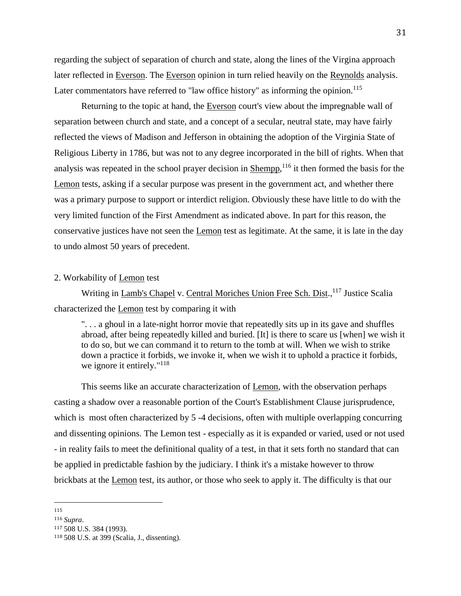regarding the subject of separation of church and state, along the lines of the Virgina approach later reflected in Everson. The Everson opinion in turn relied heavily on the Reynolds analysis. Later commentators have referred to "law office history" as informing the opinion. $115$ 

Returning to the topic at hand, the Everson court's view about the impregnable wall of separation between church and state, and a concept of a secular, neutral state, may have fairly reflected the views of Madison and Jefferson in obtaining the adoption of the Virginia State of Religious Liberty in 1786, but was not to any degree incorporated in the bill of rights. When that analysis was repeated in the school prayer decision in Shempp,<sup>116</sup> it then formed the basis for the Lemon tests, asking if a secular purpose was present in the government act, and whether there was a primary purpose to support or interdict religion. Obviously these have little to do with the very limited function of the First Amendment as indicated above. In part for this reason, the conservative justices have not seen the Lemon test as legitimate. At the same, it is late in the day to undo almost 50 years of precedent.

## 2. Workability of Lemon test

Writing in Lamb's Chapel v. Central Moriches Union Free Sch. Dist., <sup>117</sup> Justice Scalia characterized the Lemon test by comparing it with

". . . a ghoul in a late-night horror movie that repeatedly sits up in its gave and shuffles abroad, after being repeatedly killed and buried. [It] is there to scare us [when] we wish it to do so, but we can command it to return to the tomb at will. When we wish to strike down a practice it forbids, we invoke it, when we wish it to uphold a practice it forbids, we ignore it entirely."<sup>118</sup>

This seems like an accurate characterization of Lemon, with the observation perhaps casting a shadow over a reasonable portion of the Court's Establishment Clause jurisprudence, which is most often characterized by 5 -4 decisions, often with multiple overlapping concurring and dissenting opinions. The Lemon test - especially as it is expanded or varied, used or not used - in reality fails to meet the definitional quality of a test, in that it sets forth no standard that can be applied in predictable fashion by the judiciary. I think it's a mistake however to throw brickbats at the Lemon test, its author, or those who seek to apply it. The difficulty is that our

 $\overline{\phantom{a}}$ 115

<sup>116</sup> *Supra*.

<sup>117</sup> 508 U.S. 384 (1993).

<sup>118</sup> 508 U.S. at 399 (Scalia, J., dissenting).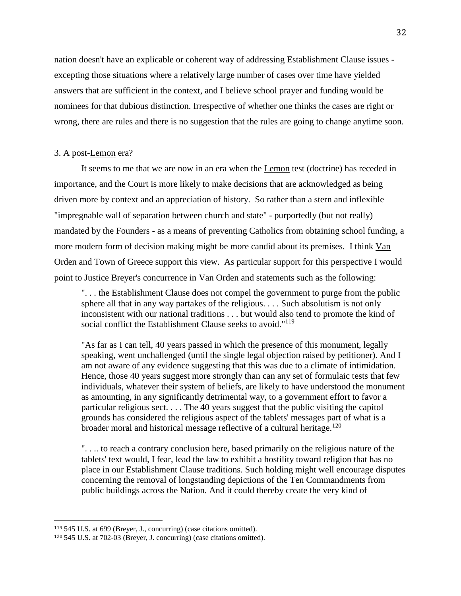nation doesn't have an explicable or coherent way of addressing Establishment Clause issues excepting those situations where a relatively large number of cases over time have yielded answers that are sufficient in the context, and I believe school prayer and funding would be nominees for that dubious distinction. Irrespective of whether one thinks the cases are right or wrong, there are rules and there is no suggestion that the rules are going to change anytime soon.

## 3. A post-Lemon era?

It seems to me that we are now in an era when the Lemon test (doctrine) has receded in importance, and the Court is more likely to make decisions that are acknowledged as being driven more by context and an appreciation of history. So rather than a stern and inflexible "impregnable wall of separation between church and state" - purportedly (but not really) mandated by the Founders - as a means of preventing Catholics from obtaining school funding, a more modern form of decision making might be more candid about its premises. I think Van Orden and Town of Greece support this view. As particular support for this perspective I would point to Justice Breyer's concurrence in Van Orden and statements such as the following:

". . . the Establishment Clause does not compel the government to purge from the public sphere all that in any way partakes of the religious. . . . Such absolutism is not only inconsistent with our national traditions . . . but would also tend to promote the kind of social conflict the Establishment Clause seeks to avoid."<sup>119</sup>

"As far as I can tell, 40 years passed in which the presence of this monument, legally speaking, went unchallenged (until the single legal objection raised by petitioner). And I am not aware of any evidence suggesting that this was due to a climate of intimidation. Hence, those 40 years suggest more strongly than can any set of formulaic tests that few individuals, whatever their system of beliefs, are likely to have understood the monument as amounting, in any significantly detrimental way, to a government effort to favor a particular religious sect. . . . The 40 years suggest that the public visiting the capitol grounds has considered the religious aspect of the tablets' messages part of what is a broader moral and historical message reflective of a cultural heritage.<sup>120</sup>

". . .. to reach a contrary conclusion here, based primarily on the religious nature of the tablets' text would, I fear, lead the law to exhibit a hostility toward religion that has no place in our Establishment Clause traditions. Such holding might well encourage disputes concerning the removal of longstanding depictions of the Ten Commandments from public buildings across the Nation. And it could thereby create the very kind of

<sup>119</sup> 545 U.S. at 699 (Breyer, J., concurring) (case citations omitted).

<sup>120</sup> 545 U.S. at 702-03 (Breyer, J. concurring) (case citations omitted).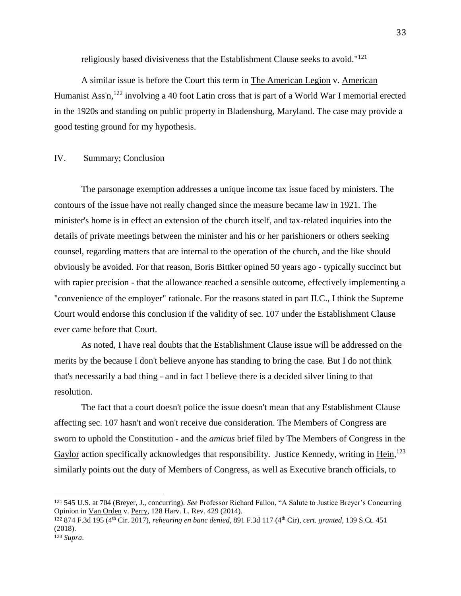religiously based divisiveness that the Establishment Clause seeks to avoid."<sup>121</sup>

A similar issue is before the Court this term in The American Legion v. American Humanist Ass'n, <sup>122</sup> involving a 40 foot Latin cross that is part of a World War I memorial erected in the 1920s and standing on public property in Bladensburg, Maryland. The case may provide a good testing ground for my hypothesis.

## IV. Summary; Conclusion

The parsonage exemption addresses a unique income tax issue faced by ministers. The contours of the issue have not really changed since the measure became law in 1921. The minister's home is in effect an extension of the church itself, and tax-related inquiries into the details of private meetings between the minister and his or her parishioners or others seeking counsel, regarding matters that are internal to the operation of the church, and the like should obviously be avoided. For that reason, Boris Bittker opined 50 years ago - typically succinct but with rapier precision - that the allowance reached a sensible outcome, effectively implementing a "convenience of the employer" rationale. For the reasons stated in part II.C., I think the Supreme Court would endorse this conclusion if the validity of sec. 107 under the Establishment Clause ever came before that Court.

As noted, I have real doubts that the Establishment Clause issue will be addressed on the merits by the because I don't believe anyone has standing to bring the case. But I do not think that's necessarily a bad thing - and in fact I believe there is a decided silver lining to that resolution.

The fact that a court doesn't police the issue doesn't mean that any Establishment Clause affecting sec. 107 hasn't and won't receive due consideration. The Members of Congress are sworn to uphold the Constitution - and the *amicus* brief filed by The Members of Congress in the Gaylor action specifically acknowledges that responsibility. Justice Kennedy, writing in Hein,<sup>123</sup> similarly points out the duty of Members of Congress, as well as Executive branch officials, to

<sup>121</sup> 545 U.S. at 704 (Breyer, J., concurring). *See* Professor Richard Fallon, "A Salute to Justice Breyer's Concurring Opinion in Van Orden v. Perry, 128 Harv. L. Rev. 429 (2014).

<sup>122</sup> 874 F.3d 195 (4th Cir. 2017), *rehearing en banc denied*, 891 F.3d 117 (4th Cir), *cert. granted*, 139 S.Ct. 451 (2018).

<sup>123</sup> *Supra*.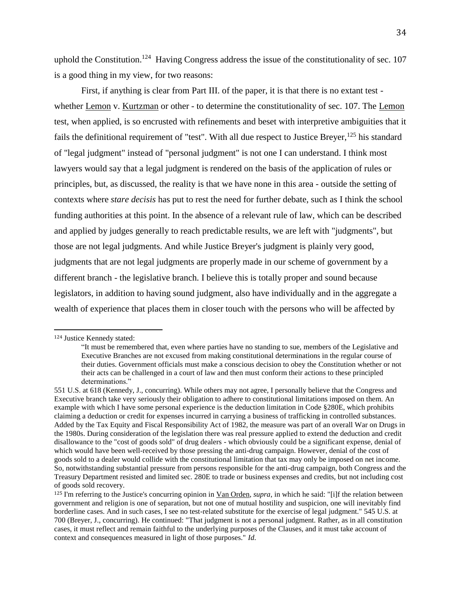uphold the Constitution.<sup>124</sup> Having Congress address the issue of the constitutionality of sec. 107 is a good thing in my view, for two reasons:

First, if anything is clear from Part III. of the paper, it is that there is no extant test whether Lemon v. Kurtzman or other - to determine the constitutionality of sec. 107. The Lemon test, when applied, is so encrusted with refinements and beset with interpretive ambiguities that it fails the definitional requirement of "test". With all due respect to Justice Breyer,  $^{125}$  his standard of "legal judgment" instead of "personal judgment" is not one I can understand. I think most lawyers would say that a legal judgment is rendered on the basis of the application of rules or principles, but, as discussed, the reality is that we have none in this area - outside the setting of contexts where *stare decisis* has put to rest the need for further debate, such as I think the school funding authorities at this point. In the absence of a relevant rule of law, which can be described and applied by judges generally to reach predictable results, we are left with "judgments", but those are not legal judgments. And while Justice Breyer's judgment is plainly very good, judgments that are not legal judgments are properly made in our scheme of government by a different branch - the legislative branch. I believe this is totally proper and sound because legislators, in addition to having sound judgment, also have individually and in the aggregate a wealth of experience that places them in closer touch with the persons who will be affected by

<sup>124</sup> Justice Kennedy stated:

<sup>&</sup>quot;It must be remembered that, even where parties have no standing to sue, members of the Legislative and Executive Branches are not excused from making constitutional determinations in the regular course of their duties. Government officials must make a conscious decision to obey the Constitution whether or not their acts can be challenged in a court of law and then must conform their actions to these principled determinations."

<sup>551</sup> U.S. at 618 (Kennedy, J., concurring). While others may not agree, I personally believe that the Congress and Executive branch take very seriously their obligation to adhere to constitutional limitations imposed on them. An example with which I have some personal experience is the deduction limitation in Code §280E, which prohibits claiming a deduction or credit for expenses incurred in carrying a business of trafficking in controlled substances. Added by the Tax Equity and Fiscal Responsibility Act of 1982, the measure was part of an overall War on Drugs in the 1980s. During consideration of the legislation there was real pressure applied to extend the deduction and credit disallowance to the "cost of goods sold" of drug dealers - which obviously could be a significant expense, denial of which would have been well-received by those pressing the anti-drug campaign. However, denial of the cost of goods sold to a dealer would collide with the constitutional limitation that tax may only be imposed on net income. So, notwithstanding substantial pressure from persons responsible for the anti-drug campaign, both Congress and the Treasury Department resisted and limited sec. 280E to trade or business expenses and credits, but not including cost of goods sold recovery.

<sup>125</sup> I'm referring to the Justice's concurring opinion in Van Orden, *supra*, in which he said: "[i]f the relation between government and religion is one of separation, but not one of mutual hostility and suspicion, one will inevitably find borderline cases. And in such cases, I see no test-related substitute for the exercise of legal judgment." 545 U.S. at 700 (Breyer, J., concurring). He continued: "That judgment is not a personal judgment. Rather, as in all constitution cases, it must reflect and remain faithful to the underlying purposes of the Clauses, and it must take account of context and consequences measured in light of those purposes." *Id*.